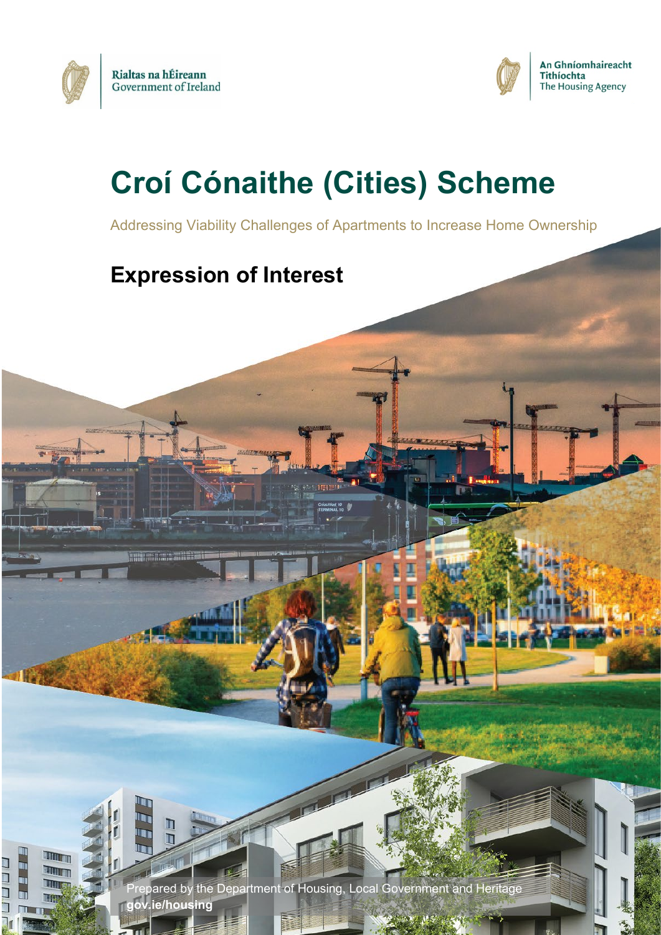

**MARITIMO** 

П Ħ

TIMT

TITTETT T

lu<br>Lu 

İ٤ ٦  $\Box$ 



# **Croí Cónaithe (Cities) Scheme**

Addressing Viability Challenges of Apartments to Increase Home Ownership

## **Expression of Interest**

1 Prepared by the Department of Housing, Local Government and Heritage **[gov.ie/housing](https://www.gov.ie/en/organisation/department-of-housing-local-government-and-heritage/?referrer=http://www.gov.ie/housing/)**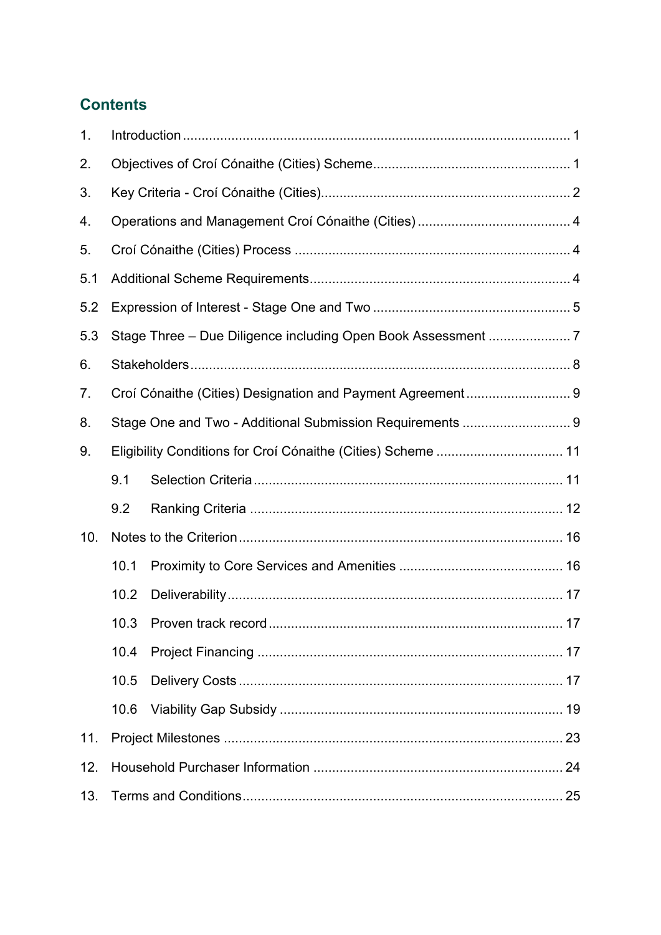## **Contents**

| $\mathbf{1}$ . |                                                              |                                                              |    |  |  |  |
|----------------|--------------------------------------------------------------|--------------------------------------------------------------|----|--|--|--|
| 2.             |                                                              |                                                              |    |  |  |  |
| 3.             |                                                              |                                                              |    |  |  |  |
| 4.             |                                                              |                                                              |    |  |  |  |
| 5.             |                                                              |                                                              |    |  |  |  |
| 5.1            |                                                              |                                                              |    |  |  |  |
| 5.2            |                                                              |                                                              |    |  |  |  |
| 5.3            |                                                              | Stage Three - Due Diligence including Open Book Assessment 7 |    |  |  |  |
| 6.             |                                                              |                                                              |    |  |  |  |
| 7.             |                                                              | Croí Cónaithe (Cities) Designation and Payment Agreement 9   |    |  |  |  |
| 8.             |                                                              | Stage One and Two - Additional Submission Requirements  9    |    |  |  |  |
| 9.             | Eligibility Conditions for Croi Cónaithe (Cities) Scheme  11 |                                                              |    |  |  |  |
|                | 9.1                                                          |                                                              |    |  |  |  |
|                | 9.2                                                          |                                                              |    |  |  |  |
| 10.            |                                                              |                                                              |    |  |  |  |
|                | 10.1                                                         |                                                              |    |  |  |  |
|                | 10.2                                                         |                                                              |    |  |  |  |
|                |                                                              | 10.3 Proven track record                                     | 17 |  |  |  |
|                | 10.4                                                         |                                                              |    |  |  |  |
|                | 10.5                                                         |                                                              |    |  |  |  |
|                | 10.6                                                         |                                                              |    |  |  |  |
| 11.            |                                                              |                                                              |    |  |  |  |
| 12.            |                                                              |                                                              |    |  |  |  |
| 13.            |                                                              |                                                              |    |  |  |  |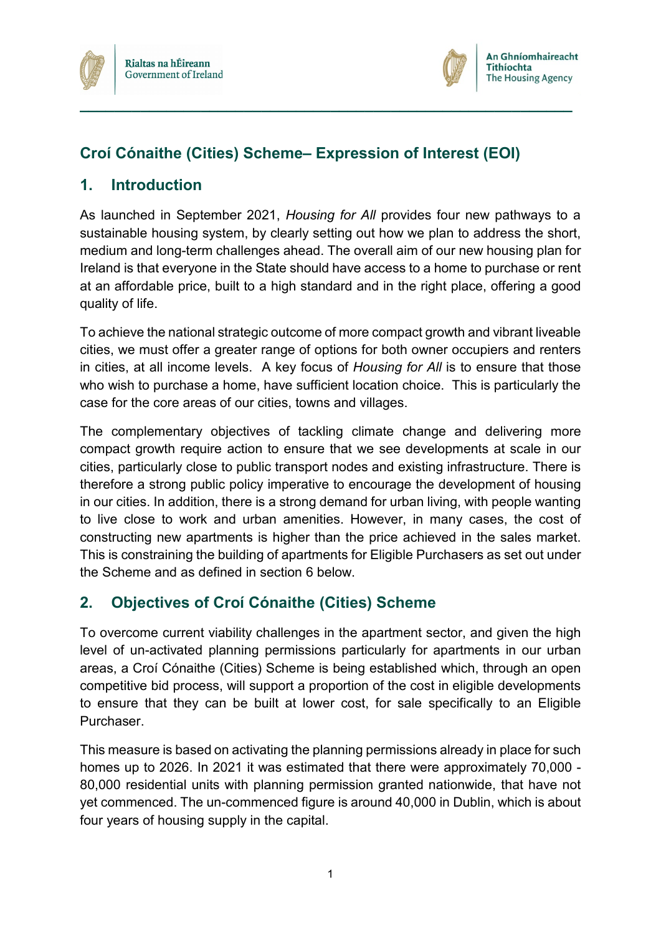



## **Croí Cónaithe (Cities) Scheme– Expression of Interest (EOI)**

**\_\_\_\_\_\_\_\_\_\_\_\_\_\_\_\_\_\_\_\_\_\_\_\_\_\_\_\_\_\_\_\_\_\_\_\_\_\_\_\_\_\_\_\_\_\_\_\_\_\_\_\_\_\_\_\_\_**

## <span id="page-3-0"></span>**1. Introduction**

As launched in September 2021, *Housing for All* provides four new pathways to a sustainable housing system, by clearly setting out how we plan to address the short, medium and long-term challenges ahead. The overall aim of our new housing plan for Ireland is that everyone in the State should have access to a home to purchase or rent at an affordable price, built to a high standard and in the right place, offering a good quality of life.

To achieve the national strategic outcome of more compact growth and vibrant liveable cities, we must offer a greater range of options for both owner occupiers and renters in cities, at all income levels. A key focus of *Housing for All* is to ensure that those who wish to purchase a home, have sufficient location choice. This is particularly the case for the core areas of our cities, towns and villages.

The complementary objectives of tackling climate change and delivering more compact growth require action to ensure that we see developments at scale in our cities, particularly close to public transport nodes and existing infrastructure. There is therefore a strong public policy imperative to encourage the development of housing in our cities. In addition, there is a strong demand for urban living, with people wanting to live close to work and urban amenities. However, in many cases, the cost of constructing new apartments is higher than the price achieved in the sales market. This is constraining the building of apartments for Eligible Purchasers as set out under the Scheme and as defined in section 6 below.

## <span id="page-3-1"></span>**2. Objectives of Croí Cónaithe (Cities) Scheme**

To overcome current viability challenges in the apartment sector, and given the high level of un-activated planning permissions particularly for apartments in our urban areas, a Croí Cónaithe (Cities) Scheme is being established which, through an open competitive bid process, will support a proportion of the cost in eligible developments to ensure that they can be built at lower cost, for sale specifically to an Eligible Purchaser.

This measure is based on activating the planning permissions already in place for such homes up to 2026. In 2021 it was estimated that there were approximately 70,000 - 80,000 residential units with planning permission granted nationwide, that have not yet commenced. The un-commenced figure is around 40,000 in Dublin, which is about four years of housing supply in the capital.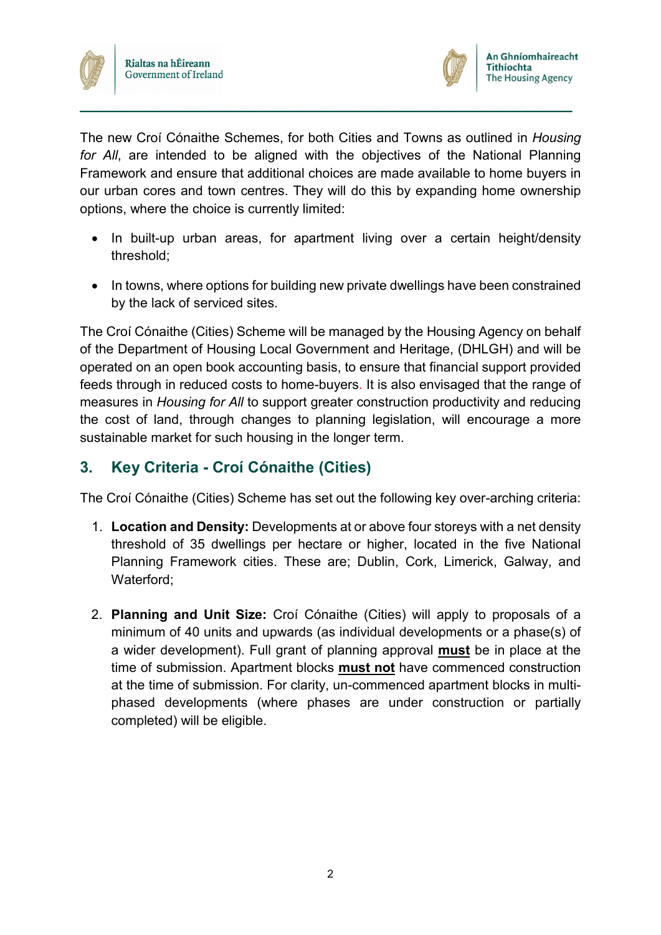



The new Croí Cónaithe Schemes, for both Cities and Towns as outlined in *Housing for All*, are intended to be aligned with the objectives of the National Planning Framework and ensure that additional choices are made available to home buyers in our urban cores and town centres. They will do this by expanding home ownership options, where the choice is currently limited:

**\_\_\_\_\_\_\_\_\_\_\_\_\_\_\_\_\_\_\_\_\_\_\_\_\_\_\_\_\_\_\_\_\_\_\_\_\_\_\_\_\_\_\_\_\_\_\_\_\_\_\_\_\_\_\_\_\_**

- In built-up urban areas, for apartment living over a certain height/density threshold;
- In towns, where options for building new private dwellings have been constrained by the lack of serviced sites.

The Croí Cónaithe (Cities) Scheme will be managed by the Housing Agency on behalf of the Department of Housing Local Government and Heritage, (DHLGH) and will be operated on an open book accounting basis, to ensure that financial support provided feeds through in reduced costs to home-buyers. It is also envisaged that the range of measures in *Housing for All* to support greater construction productivity and reducing the cost of land, through changes to planning legislation, will encourage a more sustainable market for such housing in the longer term.

## <span id="page-4-0"></span>**3. Key Criteria - Croí Cónaithe (Cities)**

The Croí Cónaithe (Cities) Scheme has set out the following key over-arching criteria:

- 1. **Location and Density:** Developments at or above four storeys with a net density threshold of 35 dwellings per hectare or higher, located in the five National Planning Framework cities. These are; Dublin, Cork, Limerick, Galway, and Waterford;
- 2. **Planning and Unit Size:** Croí Cónaithe (Cities) will apply to proposals of a minimum of 40 units and upwards (as individual developments or a phase(s) of a wider development). Full grant of planning approval **must** be in place at the time of submission. Apartment blocks **must not** have commenced construction at the time of submission. For clarity, un-commenced apartment blocks in multiphased developments (where phases are under construction or partially completed) will be eligible.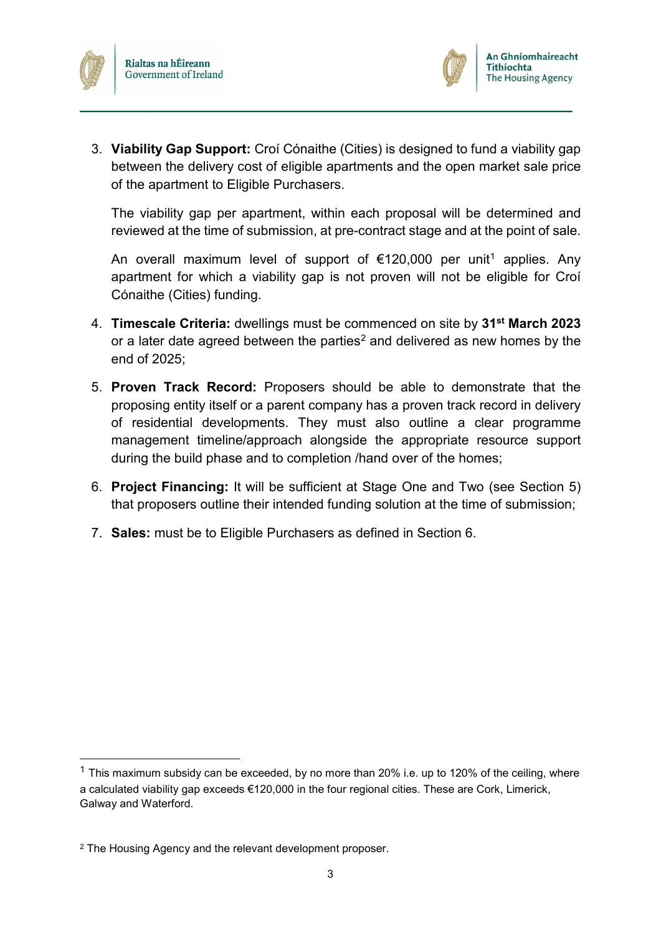



3. **Viability Gap Support:** Croí Cónaithe (Cities) is designed to fund a viability gap between the delivery cost of eligible apartments and the open market sale price of the apartment to Eligible Purchasers.

**\_\_\_\_\_\_\_\_\_\_\_\_\_\_\_\_\_\_\_\_\_\_\_\_\_\_\_\_\_\_\_\_\_\_\_\_\_\_\_\_\_\_\_\_\_\_\_\_\_\_\_\_\_\_\_\_\_**

The viability gap per apartment, within each proposal will be determined and reviewed at the time of submission, at pre-contract stage and at the point of sale.

An overall maximum level of support of  $\epsilon$ [1](#page-5-0)20,000 per unit<sup>1</sup> applies. Any apartment for which a viability gap is not proven will not be eligible for Croí Cónaithe (Cities) funding.

- 4. **Timescale Criteria:** dwellings must be commenced on site by **31st March 2023** or a later date agreed between the parties<sup>[2](#page-5-1)</sup> and delivered as new homes by the end of 2025;
- 5. **Proven Track Record:** Proposers should be able to demonstrate that the proposing entity itself or a parent company has a proven track record in delivery of residential developments. They must also outline a clear programme management timeline/approach alongside the appropriate resource support during the build phase and to completion /hand over of the homes;
- 6. **Project Financing:** It will be sufficient at Stage One and Two (see Section 5) that proposers outline their intended funding solution at the time of submission;
- 7. **Sales:** must be to Eligible Purchasers as defined in Section 6.

<span id="page-5-0"></span> $1$  This maximum subsidy can be exceeded, by no more than 20% i.e. up to 120% of the ceiling, where a calculated viability gap exceeds €120,000 in the four regional cities. These are Cork, Limerick, Galway and Waterford.

<span id="page-5-1"></span><sup>2</sup> The Housing Agency and the relevant development proposer.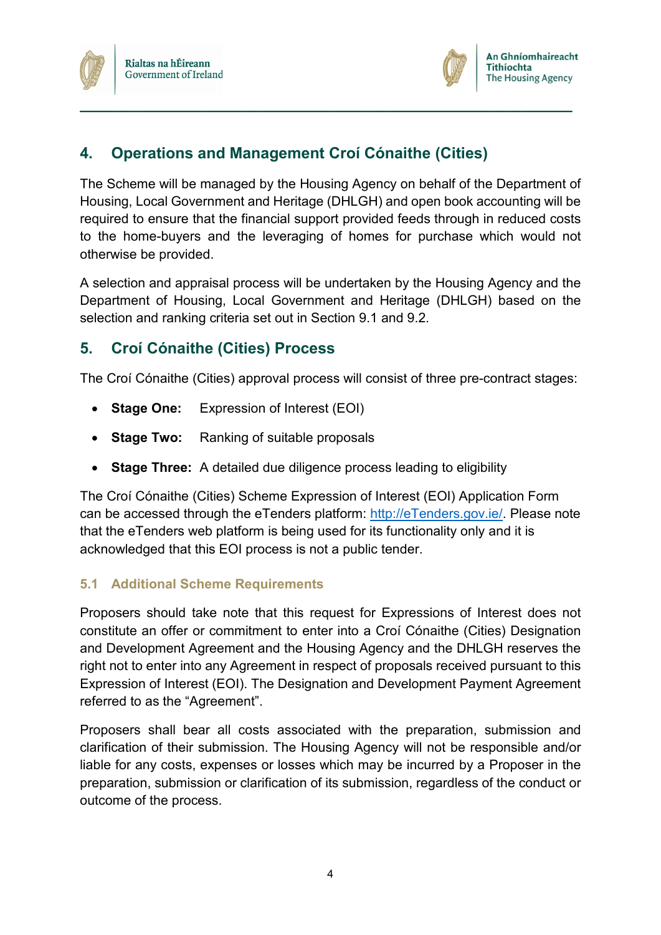



## <span id="page-6-0"></span>**4. Operations and Management Croí Cónaithe (Cities)**

The Scheme will be managed by the Housing Agency on behalf of the Department of Housing, Local Government and Heritage (DHLGH) and open book accounting will be required to ensure that the financial support provided feeds through in reduced costs to the home-buyers and the leveraging of homes for purchase which would not otherwise be provided.

**\_\_\_\_\_\_\_\_\_\_\_\_\_\_\_\_\_\_\_\_\_\_\_\_\_\_\_\_\_\_\_\_\_\_\_\_\_\_\_\_\_\_\_\_\_\_\_\_\_\_\_\_\_\_\_\_\_**

A selection and appraisal process will be undertaken by the Housing Agency and the Department of Housing, Local Government and Heritage (DHLGH) based on the selection and ranking criteria set out in Section 9.1 and 9.2*.*

## <span id="page-6-1"></span>**5. Croí Cónaithe (Cities) Process**

The Croí Cónaithe (Cities) approval process will consist of three pre-contract stages:

- **Stage One:** Expression of Interest (EOI)
- **Stage Two:** Ranking of suitable proposals
- **Stage Three:** A detailed due diligence process leading to eligibility

The Croí Cónaithe (Cities) Scheme Expression of Interest (EOI) Application Form can be accessed through the eTenders platform: [http://eTenders.gov.ie/.](http://etenders.gov.ie/) Please note that the eTenders web platform is being used for its functionality only and it is acknowledged that this EOI process is not a public tender.

## <span id="page-6-2"></span>**5.1 Additional Scheme Requirements**

Proposers should take note that this request for Expressions of Interest does not constitute an offer or commitment to enter into a Croí Cónaithe (Cities) Designation and Development Agreement and the Housing Agency and the DHLGH reserves the right not to enter into any Agreement in respect of proposals received pursuant to this Expression of Interest (EOI). The Designation and Development Payment Agreement referred to as the "Agreement".

Proposers shall bear all costs associated with the preparation, submission and clarification of their submission. The Housing Agency will not be responsible and/or liable for any costs, expenses or losses which may be incurred by a Proposer in the preparation, submission or clarification of its submission, regardless of the conduct or outcome of the process.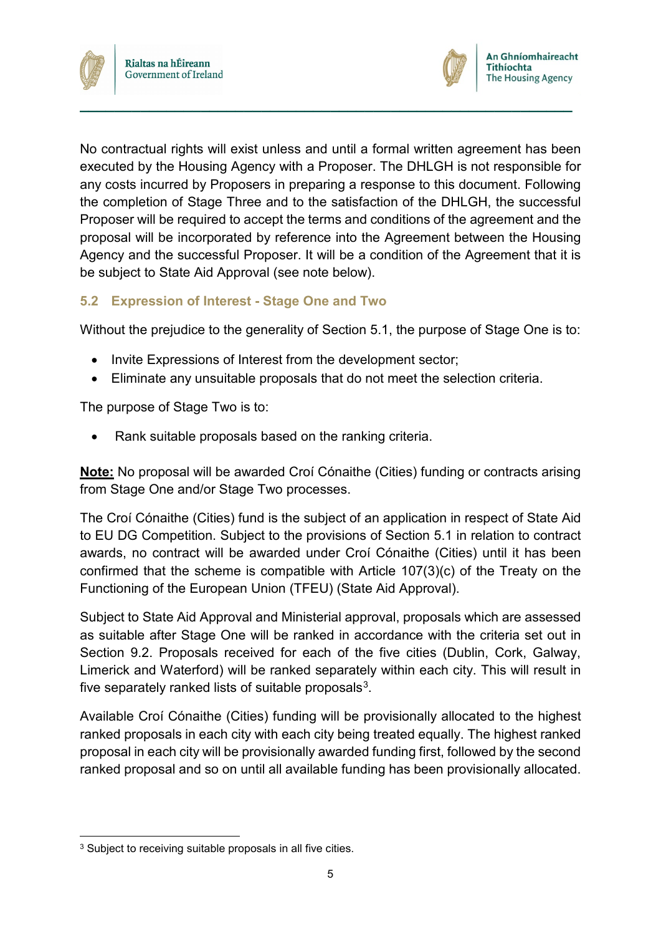



No contractual rights will exist unless and until a formal written agreement has been executed by the Housing Agency with a Proposer. The DHLGH is not responsible for any costs incurred by Proposers in preparing a response to this document. Following the completion of Stage Three and to the satisfaction of the DHLGH, the successful Proposer will be required to accept the terms and conditions of the agreement and the proposal will be incorporated by reference into the Agreement between the Housing Agency and the successful Proposer. It will be a condition of the Agreement that it is be subject to State Aid Approval (see note below).

**\_\_\_\_\_\_\_\_\_\_\_\_\_\_\_\_\_\_\_\_\_\_\_\_\_\_\_\_\_\_\_\_\_\_\_\_\_\_\_\_\_\_\_\_\_\_\_\_\_\_\_\_\_\_\_\_\_**

#### <span id="page-7-0"></span>**5.2 Expression of Interest - Stage One and Two**

Without the prejudice to the generality of Section 5.1, the purpose of Stage One is to:

- Invite Expressions of Interest from the development sector;
- Eliminate any unsuitable proposals that do not meet the selection criteria.

The purpose of Stage Two is to:

• Rank suitable proposals based on the ranking criteria.

**Note:** No proposal will be awarded Croí Cónaithe (Cities) funding or contracts arising from Stage One and/or Stage Two processes.

The Croí Cónaithe (Cities) fund is the subject of an application in respect of State Aid to EU DG Competition. Subject to the provisions of Section 5.1 in relation to contract awards, no contract will be awarded under Croí Cónaithe (Cities) until it has been confirmed that the scheme is compatible with Article 107(3)(c) of the Treaty on the Functioning of the European Union (TFEU) (State Aid Approval).

Subject to State Aid Approval and Ministerial approval, proposals which are assessed as suitable after Stage One will be ranked in accordance with the criteria set out in Section 9.2. Proposals received for each of the five cities (Dublin, Cork, Galway, Limerick and Waterford) will be ranked separately within each city. This will result in five separately ranked lists of suitable proposals $3$ .

Available Croí Cónaithe (Cities) funding will be provisionally allocated to the highest ranked proposals in each city with each city being treated equally. The highest ranked proposal in each city will be provisionally awarded funding first, followed by the second ranked proposal and so on until all available funding has been provisionally allocated.

<span id="page-7-1"></span><sup>&</sup>lt;sup>3</sup> Subject to receiving suitable proposals in all five cities.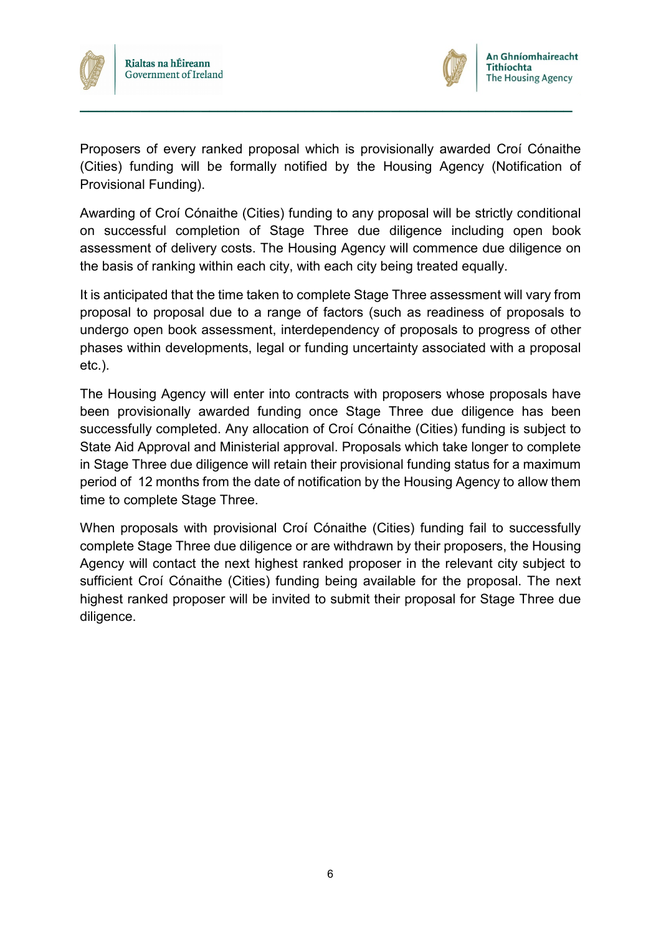



Proposers of every ranked proposal which is provisionally awarded Croí Cónaithe (Cities) funding will be formally notified by the Housing Agency (Notification of Provisional Funding).

**\_\_\_\_\_\_\_\_\_\_\_\_\_\_\_\_\_\_\_\_\_\_\_\_\_\_\_\_\_\_\_\_\_\_\_\_\_\_\_\_\_\_\_\_\_\_\_\_\_\_\_\_\_\_\_\_\_**

Awarding of Croí Cónaithe (Cities) funding to any proposal will be strictly conditional on successful completion of Stage Three due diligence including open book assessment of delivery costs. The Housing Agency will commence due diligence on the basis of ranking within each city, with each city being treated equally.

It is anticipated that the time taken to complete Stage Three assessment will vary from proposal to proposal due to a range of factors (such as readiness of proposals to undergo open book assessment, interdependency of proposals to progress of other phases within developments, legal or funding uncertainty associated with a proposal etc.).

The Housing Agency will enter into contracts with proposers whose proposals have been provisionally awarded funding once Stage Three due diligence has been successfully completed. Any allocation of Croí Cónaithe (Cities) funding is subject to State Aid Approval and Ministerial approval. Proposals which take longer to complete in Stage Three due diligence will retain their provisional funding status for a maximum period of 12 months from the date of notification by the Housing Agency to allow them time to complete Stage Three.

When proposals with provisional Croí Cónaithe (Cities) funding fail to successfully complete Stage Three due diligence or are withdrawn by their proposers, the Housing Agency will contact the next highest ranked proposer in the relevant city subject to sufficient Croí Cónaithe (Cities) funding being available for the proposal. The next highest ranked proposer will be invited to submit their proposal for Stage Three due diligence.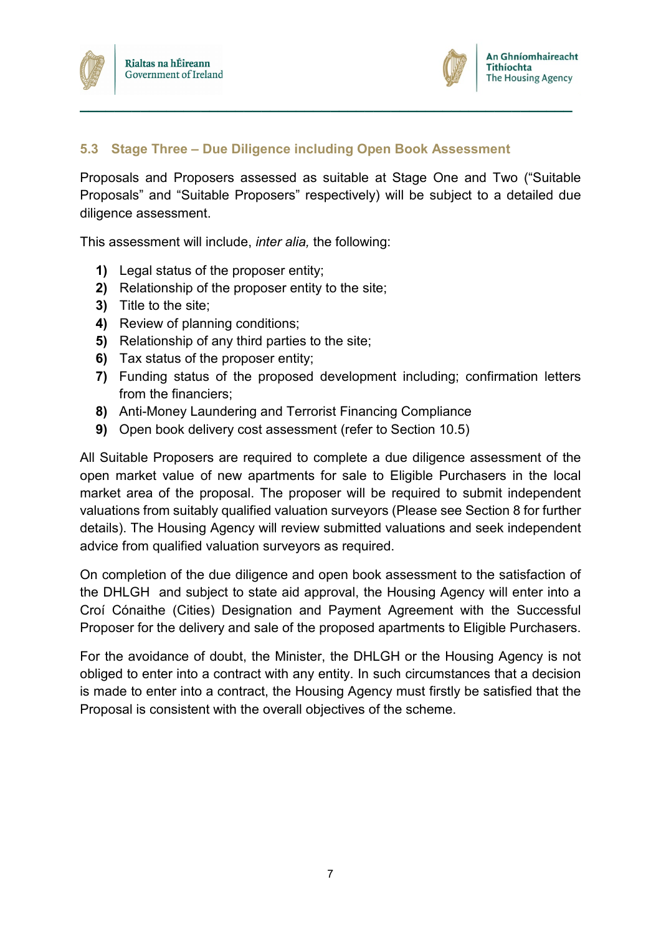

#### <span id="page-9-0"></span>**5.3 Stage Three – Due Diligence including Open Book Assessment**

Proposals and Proposers assessed as suitable at Stage One and Two ("Suitable Proposals" and "Suitable Proposers" respectively) will be subject to a detailed due diligence assessment.

**\_\_\_\_\_\_\_\_\_\_\_\_\_\_\_\_\_\_\_\_\_\_\_\_\_\_\_\_\_\_\_\_\_\_\_\_\_\_\_\_\_\_\_\_\_\_\_\_\_\_\_\_\_\_\_\_\_**

This assessment will include, *inter alia,* the following:

- **1)** Legal status of the proposer entity;
- **2)** Relationship of the proposer entity to the site;
- **3)** Title to the site;
- **4)** Review of planning conditions;
- **5)** Relationship of any third parties to the site;
- **6)** Tax status of the proposer entity;
- **7)** Funding status of the proposed development including; confirmation letters from the financiers;
- **8)** Anti-Money Laundering and Terrorist Financing Compliance
- **9)** Open book delivery cost assessment (refer to Section 10.5)

All Suitable Proposers are required to complete a due diligence assessment of the open market value of new apartments for sale to Eligible Purchasers in the local market area of the proposal. The proposer will be required to submit independent valuations from suitably qualified valuation surveyors (Please see Section 8 for further details). The Housing Agency will review submitted valuations and seek independent advice from qualified valuation surveyors as required.

On completion of the due diligence and open book assessment to the satisfaction of the DHLGH and subject to state aid approval, the Housing Agency will enter into a Croí Cónaithe (Cities) Designation and Payment Agreement with the Successful Proposer for the delivery and sale of the proposed apartments to Eligible Purchasers.

For the avoidance of doubt, the Minister, the DHLGH or the Housing Agency is not obliged to enter into a contract with any entity. In such circumstances that a decision is made to enter into a contract, the Housing Agency must firstly be satisfied that the Proposal is consistent with the overall objectives of the scheme.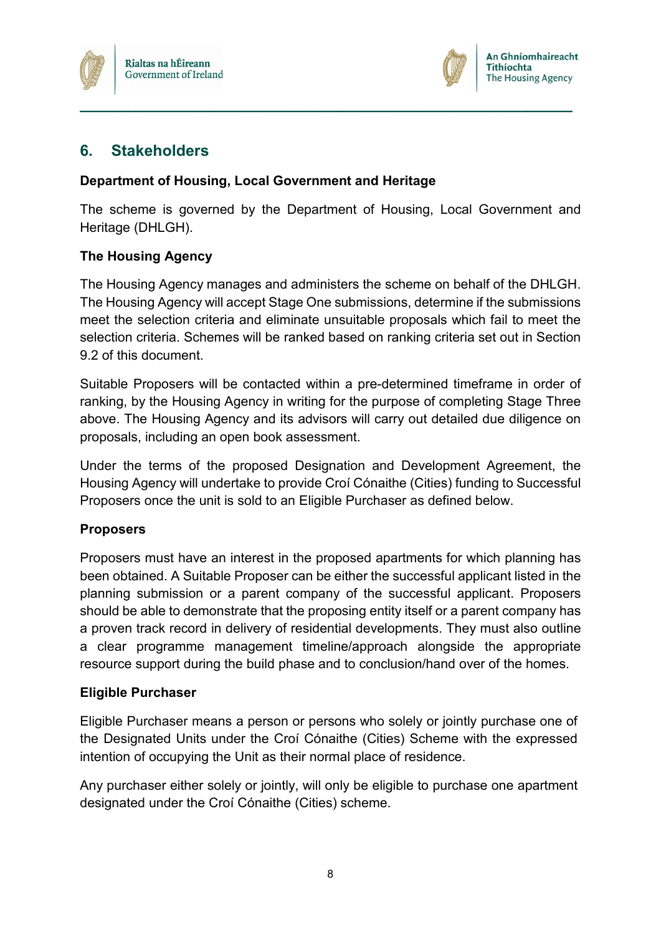



## <span id="page-10-0"></span>**6. Stakeholders**

#### **Department of Housing, Local Government and Heritage**

The scheme is governed by the Department of Housing, Local Government and Heritage (DHLGH).

**\_\_\_\_\_\_\_\_\_\_\_\_\_\_\_\_\_\_\_\_\_\_\_\_\_\_\_\_\_\_\_\_\_\_\_\_\_\_\_\_\_\_\_\_\_\_\_\_\_\_\_\_\_\_\_\_\_**

#### **The Housing Agency**

The Housing Agency manages and administers the scheme on behalf of the DHLGH. The Housing Agency will accept Stage One submissions, determine if the submissions meet the selection criteria and eliminate unsuitable proposals which fail to meet the selection criteria. Schemes will be ranked based on ranking criteria set out in Section 9.2 of this document.

Suitable Proposers will be contacted within a pre-determined timeframe in order of ranking, by the Housing Agency in writing for the purpose of completing Stage Three above. The Housing Agency and its advisors will carry out detailed due diligence on proposals, including an open book assessment.

Under the terms of the proposed Designation and Development Agreement, the Housing Agency will undertake to provide Croí Cónaithe (Cities) funding to Successful Proposers once the unit is sold to an Eligible Purchaser as defined below.

#### **Proposers**

Proposers must have an interest in the proposed apartments for which planning has been obtained. A Suitable Proposer can be either the successful applicant listed in the planning submission or a parent company of the successful applicant. Proposers should be able to demonstrate that the proposing entity itself or a parent company has a proven track record in delivery of residential developments. They must also outline a clear programme management timeline/approach alongside the appropriate resource support during the build phase and to conclusion/hand over of the homes.

#### **Eligible Purchaser**

Eligible Purchaser means a person or persons who solely or jointly purchase one of the Designated Units under the Croí Cónaithe (Cities) Scheme with the expressed intention of occupying the Unit as their normal place of residence.

Any purchaser either solely or jointly, will only be eligible to purchase one apartment designated under the Croí Cónaithe (Cities) scheme.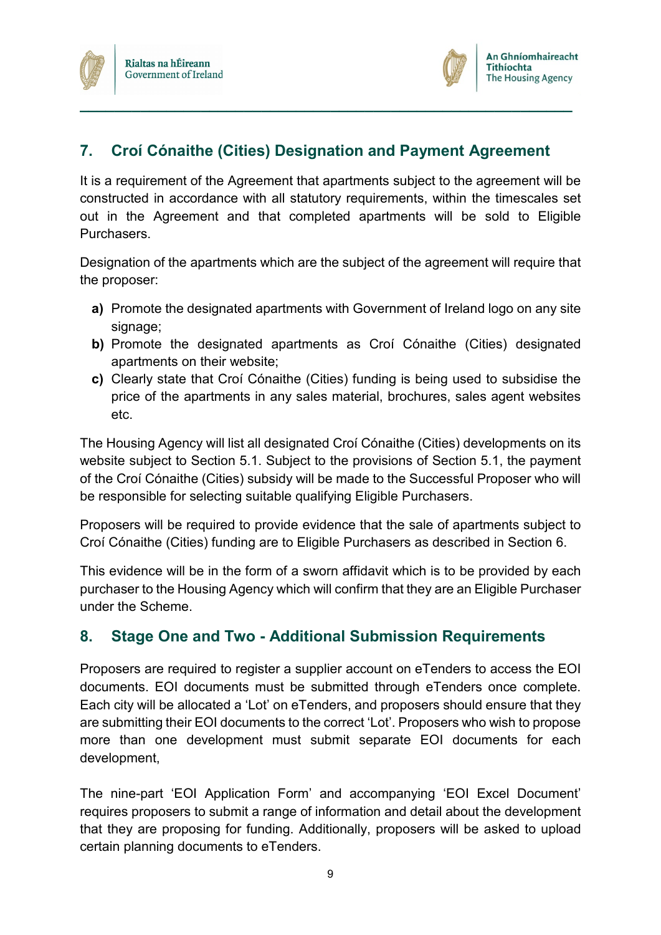

## <span id="page-11-0"></span>**7. Croí Cónaithe (Cities) Designation and Payment Agreement**

**\_\_\_\_\_\_\_\_\_\_\_\_\_\_\_\_\_\_\_\_\_\_\_\_\_\_\_\_\_\_\_\_\_\_\_\_\_\_\_\_\_\_\_\_\_\_\_\_\_\_\_\_\_\_\_\_\_**

It is a requirement of the Agreement that apartments subject to the agreement will be constructed in accordance with all statutory requirements, within the timescales set out in the Agreement and that completed apartments will be sold to Eligible Purchasers.

Designation of the apartments which are the subject of the agreement will require that the proposer:

- **a)** Promote the designated apartments with Government of Ireland logo on any site signage;
- **b)** Promote the designated apartments as Croí Cónaithe (Cities) designated apartments on their website;
- **c)** Clearly state that Croí Cónaithe (Cities) funding is being used to subsidise the price of the apartments in any sales material, brochures, sales agent websites etc.

The Housing Agency will list all designated Croí Cónaithe (Cities) developments on its website subject to Section 5.1. Subject to the provisions of Section 5.1, the payment of the Croí Cónaithe (Cities) subsidy will be made to the Successful Proposer who will be responsible for selecting suitable qualifying Eligible Purchasers.

Proposers will be required to provide evidence that the sale of apartments subject to Croí Cónaithe (Cities) funding are to Eligible Purchasers as described in Section 6.

This evidence will be in the form of a sworn affidavit which is to be provided by each purchaser to the Housing Agency which will confirm that they are an Eligible Purchaser under the Scheme.

## <span id="page-11-1"></span>**8. Stage One and Two - Additional Submission Requirements**

Proposers are required to register a supplier account on eTenders to access the EOI documents. EOI documents must be submitted through eTenders once complete. Each city will be allocated a 'Lot' on eTenders, and proposers should ensure that they are submitting their EOI documents to the correct 'Lot'. Proposers who wish to propose more than one development must submit separate EOI documents for each development,

The nine-part 'EOI Application Form' and accompanying 'EOI Excel Document' requires proposers to submit a range of information and detail about the development that they are proposing for funding. Additionally, proposers will be asked to upload certain planning documents to eTenders.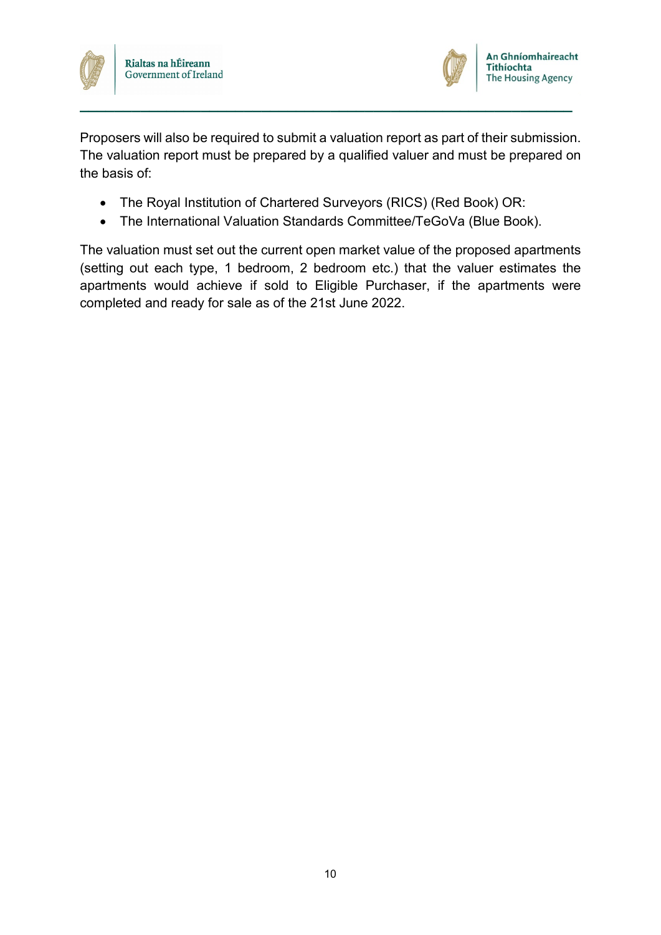



Proposers will also be required to submit a valuation report as part of their submission. The valuation report must be prepared by a qualified valuer and must be prepared on the basis of:

**\_\_\_\_\_\_\_\_\_\_\_\_\_\_\_\_\_\_\_\_\_\_\_\_\_\_\_\_\_\_\_\_\_\_\_\_\_\_\_\_\_\_\_\_\_\_\_\_\_\_\_\_\_\_\_\_\_**

- The Royal Institution of Chartered Surveyors (RICS) (Red Book) OR:
- The International Valuation Standards Committee/TeGoVa (Blue Book).

The valuation must set out the current open market value of the proposed apartments (setting out each type, 1 bedroom, 2 bedroom etc.) that the valuer estimates the apartments would achieve if sold to Eligible Purchaser, if the apartments were completed and ready for sale as of the 21st June 2022.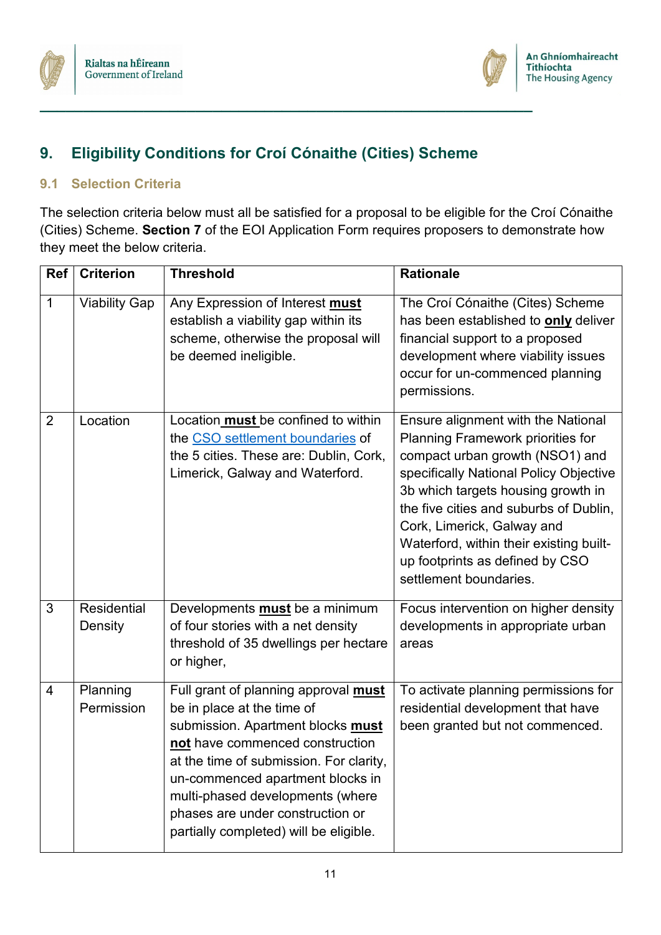



## **9. Eligibility Conditions for Croí Cónaithe (Cities) Scheme**

<span id="page-13-0"></span>**\_\_\_\_\_\_\_\_\_\_\_\_\_\_\_\_\_\_\_\_\_\_\_\_\_\_\_\_\_\_\_\_\_\_\_\_\_\_\_\_\_\_\_\_\_\_\_\_\_\_\_\_\_\_\_\_\_**

#### <span id="page-13-1"></span>**9.1 Selection Criteria**

The selection criteria below must all be satisfied for a proposal to be eligible for the Croí Cónaithe (Cities) Scheme. **Section 7** of the EOI Application Form requires proposers to demonstrate how they meet the below criteria.

| <b>Ref</b>     | <b>Criterion</b>       | <b>Threshold</b>                                                                                                                                                                                                                                                                                                                            | <b>Rationale</b>                                                                                                                                                                                                                                                                                                                                                                  |
|----------------|------------------------|---------------------------------------------------------------------------------------------------------------------------------------------------------------------------------------------------------------------------------------------------------------------------------------------------------------------------------------------|-----------------------------------------------------------------------------------------------------------------------------------------------------------------------------------------------------------------------------------------------------------------------------------------------------------------------------------------------------------------------------------|
| 1              | <b>Viability Gap</b>   | Any Expression of Interest must<br>establish a viability gap within its<br>scheme, otherwise the proposal will<br>be deemed ineligible.                                                                                                                                                                                                     | The Croí Cónaithe (Cites) Scheme<br>has been established to <b>only</b> deliver<br>financial support to a proposed<br>development where viability issues<br>occur for un-commenced planning<br>permissions.                                                                                                                                                                       |
| $\overline{2}$ | Location               | Location must be confined to within<br>the CSO settlement boundaries of<br>the 5 cities. These are: Dublin, Cork,<br>Limerick, Galway and Waterford.                                                                                                                                                                                        | Ensure alignment with the National<br><b>Planning Framework priorities for</b><br>compact urban growth (NSO1) and<br>specifically National Policy Objective<br>3b which targets housing growth in<br>the five cities and suburbs of Dublin,<br>Cork, Limerick, Galway and<br>Waterford, within their existing built-<br>up footprints as defined by CSO<br>settlement boundaries. |
| 3              | Residential<br>Density | Developments <b>must</b> be a minimum<br>of four stories with a net density<br>threshold of 35 dwellings per hectare<br>or higher,                                                                                                                                                                                                          | Focus intervention on higher density<br>developments in appropriate urban<br>areas                                                                                                                                                                                                                                                                                                |
| $\overline{4}$ | Planning<br>Permission | Full grant of planning approval must<br>be in place at the time of<br>submission. Apartment blocks must<br>not have commenced construction<br>at the time of submission. For clarity.<br>un-commenced apartment blocks in<br>multi-phased developments (where<br>phases are under construction or<br>partially completed) will be eligible. | To activate planning permissions for<br>residential development that have<br>been granted but not commenced.                                                                                                                                                                                                                                                                      |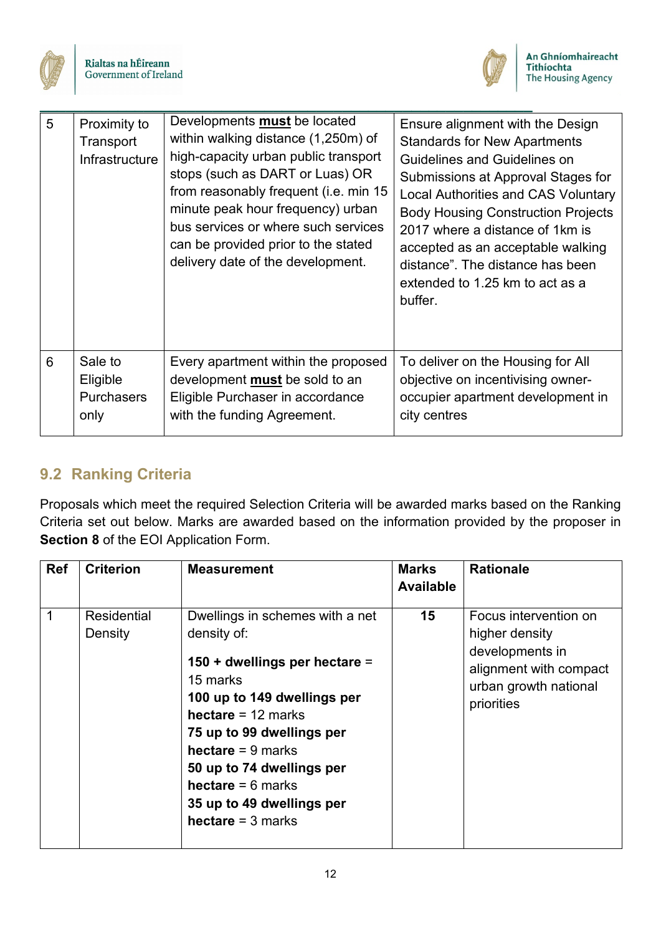



| 5 | Proximity to<br>Transport<br>Infrastructure      | Developments <b>must</b> be located<br>within walking distance (1,250m) of<br>high-capacity urban public transport<br>stops (such as DART or Luas) OR<br>from reasonably frequent (i.e. min 15<br>minute peak hour frequency) urban<br>bus services or where such services<br>can be provided prior to the stated<br>delivery date of the development. | Ensure alignment with the Design<br><b>Standards for New Apartments</b><br><b>Guidelines and Guidelines on</b><br>Submissions at Approval Stages for<br><b>Local Authorities and CAS Voluntary</b><br><b>Body Housing Construction Projects</b><br>2017 where a distance of 1km is<br>accepted as an acceptable walking<br>distance". The distance has been<br>extended to 1.25 km to act as a<br>buffer. |
|---|--------------------------------------------------|--------------------------------------------------------------------------------------------------------------------------------------------------------------------------------------------------------------------------------------------------------------------------------------------------------------------------------------------------------|-----------------------------------------------------------------------------------------------------------------------------------------------------------------------------------------------------------------------------------------------------------------------------------------------------------------------------------------------------------------------------------------------------------|
| 6 | Sale to<br>Eligible<br><b>Purchasers</b><br>only | Every apartment within the proposed<br>development <b>must</b> be sold to an<br>Eligible Purchaser in accordance<br>with the funding Agreement.                                                                                                                                                                                                        | To deliver on the Housing for All<br>objective on incentivising owner-<br>occupier apartment development in<br>city centres                                                                                                                                                                                                                                                                               |

## <span id="page-14-0"></span>**9.2 Ranking Criteria**

Proposals which meet the required Selection Criteria will be awarded marks based on the Ranking Criteria set out below. Marks are awarded based on the information provided by the proposer in **Section 8** of the EOI Application Form.

| <b>Ref</b> | <b>Criterion</b>              | <b>Measurement</b>                                                                                                                                                                                                                                                                                                         | <b>Marks</b><br><b>Available</b> | <b>Rationale</b>                                                                                                            |
|------------|-------------------------------|----------------------------------------------------------------------------------------------------------------------------------------------------------------------------------------------------------------------------------------------------------------------------------------------------------------------------|----------------------------------|-----------------------------------------------------------------------------------------------------------------------------|
|            | <b>Residential</b><br>Density | Dwellings in schemes with a net<br>density of:<br>150 + dwellings per hectare =<br>15 marks<br>100 up to 149 dwellings per<br>hectare = $12$ marks<br>75 up to 99 dwellings per<br><b>hectare</b> = 9 marks<br>50 up to 74 dwellings per<br>hectare $= 6$ marks<br>35 up to 49 dwellings per<br><b>hectare</b> = $3$ marks | 15                               | Focus intervention on<br>higher density<br>developments in<br>alignment with compact<br>urban growth national<br>priorities |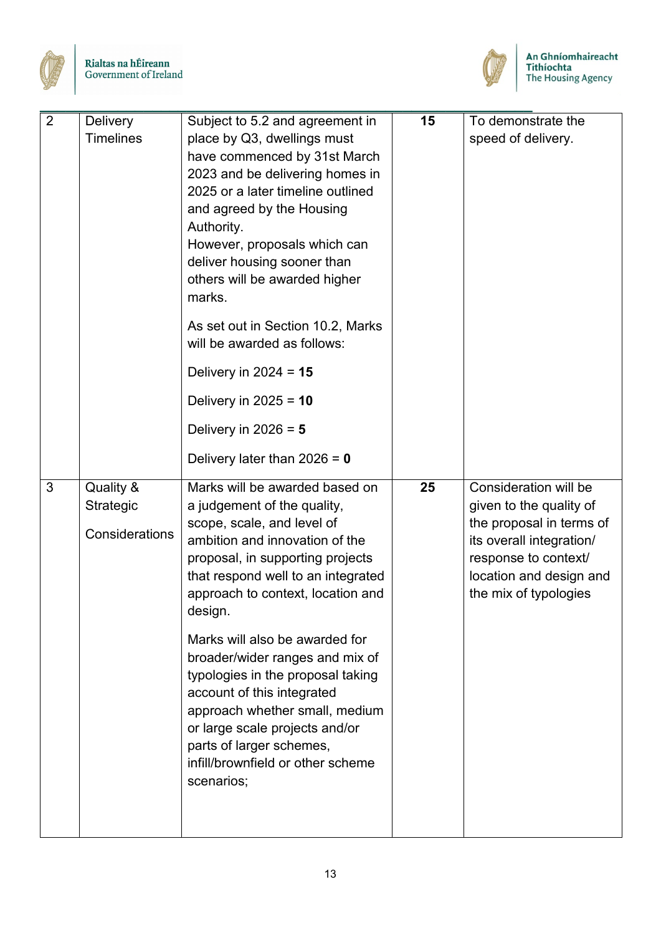



| $\overline{2}$ | <b>Delivery</b><br><b>Timelines</b>      | Subject to 5.2 and agreement in<br>place by Q3, dwellings must<br>have commenced by 31st March<br>2023 and be delivering homes in<br>2025 or a later timeline outlined<br>and agreed by the Housing<br>Authority.<br>However, proposals which can<br>deliver housing sooner than<br>others will be awarded higher<br>marks. | 15 | To demonstrate the<br>speed of delivery.                                                                                                                                             |
|----------------|------------------------------------------|-----------------------------------------------------------------------------------------------------------------------------------------------------------------------------------------------------------------------------------------------------------------------------------------------------------------------------|----|--------------------------------------------------------------------------------------------------------------------------------------------------------------------------------------|
|                |                                          | As set out in Section 10.2, Marks<br>will be awarded as follows:                                                                                                                                                                                                                                                            |    |                                                                                                                                                                                      |
|                |                                          | Delivery in $2024 = 15$                                                                                                                                                                                                                                                                                                     |    |                                                                                                                                                                                      |
|                |                                          | Delivery in $2025 = 10$                                                                                                                                                                                                                                                                                                     |    |                                                                                                                                                                                      |
|                |                                          | Delivery in $2026 = 5$                                                                                                                                                                                                                                                                                                      |    |                                                                                                                                                                                      |
|                |                                          | Delivery later than $2026 = 0$                                                                                                                                                                                                                                                                                              |    |                                                                                                                                                                                      |
| 3              | Quality &<br>Strategic<br>Considerations | Marks will be awarded based on<br>a judgement of the quality,<br>scope, scale, and level of<br>ambition and innovation of the<br>proposal, in supporting projects<br>that respond well to an integrated<br>approach to context, location and<br>design.                                                                     | 25 | Consideration will be<br>given to the quality of<br>the proposal in terms of<br>its overall integration/<br>response to context/<br>location and design and<br>the mix of typologies |
|                |                                          | Marks will also be awarded for<br>broader/wider ranges and mix of<br>typologies in the proposal taking<br>account of this integrated<br>approach whether small, medium<br>or large scale projects and/or<br>parts of larger schemes,<br>infill/brownfield or other scheme<br>scenarios;                                     |    |                                                                                                                                                                                      |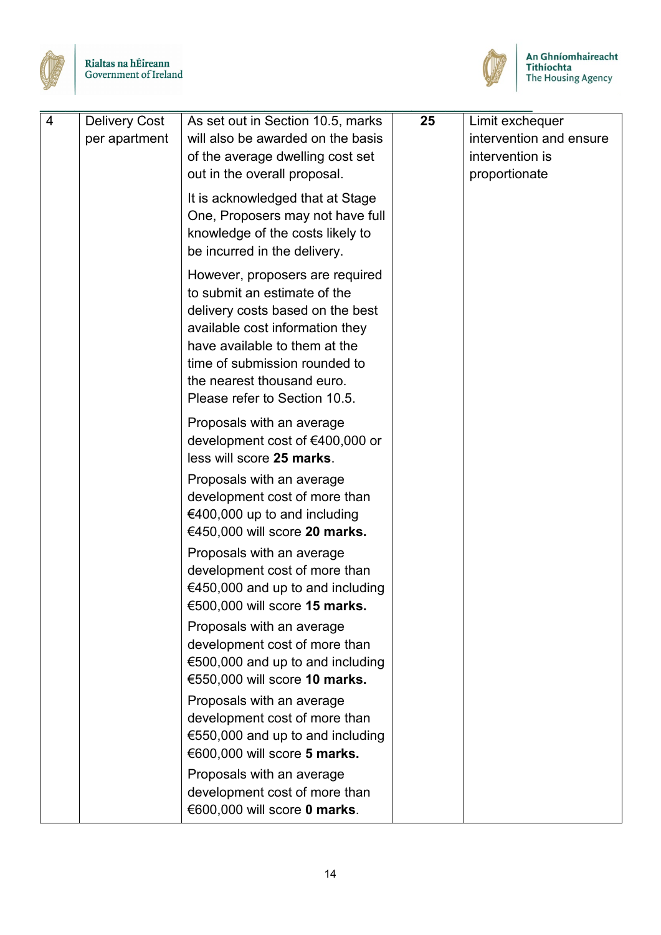



| 4 | <b>Delivery Cost</b><br>per apartment | As set out in Section 10.5, marks<br>will also be awarded on the basis<br>of the average dwelling cost set<br>out in the overall proposal.                                                                                                                              | 25 | Limit exchequer<br>intervention and ensure<br>intervention is<br>proportionate |
|---|---------------------------------------|-------------------------------------------------------------------------------------------------------------------------------------------------------------------------------------------------------------------------------------------------------------------------|----|--------------------------------------------------------------------------------|
|   |                                       | It is acknowledged that at Stage<br>One, Proposers may not have full<br>knowledge of the costs likely to<br>be incurred in the delivery.                                                                                                                                |    |                                                                                |
|   |                                       | However, proposers are required<br>to submit an estimate of the<br>delivery costs based on the best<br>available cost information they<br>have available to them at the<br>time of submission rounded to<br>the nearest thousand euro.<br>Please refer to Section 10.5. |    |                                                                                |
|   |                                       | Proposals with an average<br>development cost of €400,000 or<br>less will score 25 marks.                                                                                                                                                                               |    |                                                                                |
|   |                                       | Proposals with an average<br>development cost of more than<br>€400,000 up to and including<br>€450,000 will score 20 marks.                                                                                                                                             |    |                                                                                |
|   |                                       | Proposals with an average<br>development cost of more than<br>€450,000 and up to and including<br>€500,000 will score 15 marks.                                                                                                                                         |    |                                                                                |
|   |                                       | Proposals with an average<br>development cost of more than<br>€500,000 and up to and including<br>€550,000 will score 10 marks.                                                                                                                                         |    |                                                                                |
|   |                                       | Proposals with an average<br>development cost of more than<br>€550,000 and up to and including<br>€600,000 will score 5 marks.                                                                                                                                          |    |                                                                                |
|   |                                       | Proposals with an average<br>development cost of more than<br>€600,000 will score 0 marks.                                                                                                                                                                              |    |                                                                                |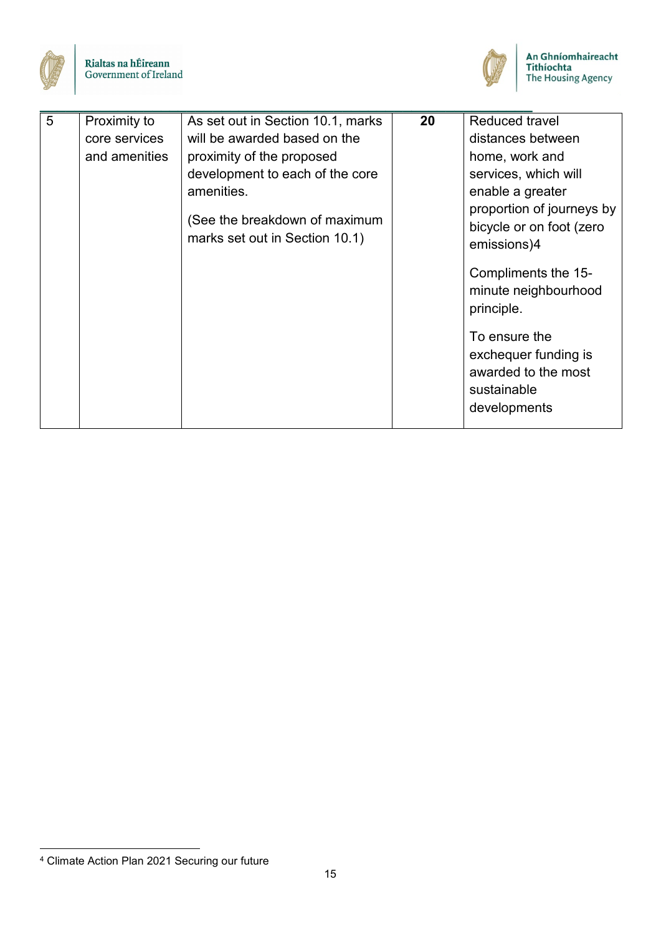



| 5 | Proximity to<br>core services<br>and amenities | As set out in Section 10.1, marks<br>will be awarded based on the<br>proximity of the proposed<br>development to each of the core<br>amenities.<br>(See the breakdown of maximum<br>marks set out in Section 10.1) | 20 | Reduced travel<br>distances between<br>home, work and<br>services, which will<br>enable a greater<br>proportion of journeys by<br>bicycle or on foot (zero<br>emissions)4<br>Compliments the 15-<br>minute neighbourhood<br>principle.<br>To ensure the<br>exchequer funding is<br>awarded to the most<br>sustainable<br>developments |
|---|------------------------------------------------|--------------------------------------------------------------------------------------------------------------------------------------------------------------------------------------------------------------------|----|---------------------------------------------------------------------------------------------------------------------------------------------------------------------------------------------------------------------------------------------------------------------------------------------------------------------------------------|
|   |                                                |                                                                                                                                                                                                                    |    |                                                                                                                                                                                                                                                                                                                                       |

<span id="page-17-0"></span> <sup>4</sup> Climate Action Plan 2021 Securing our future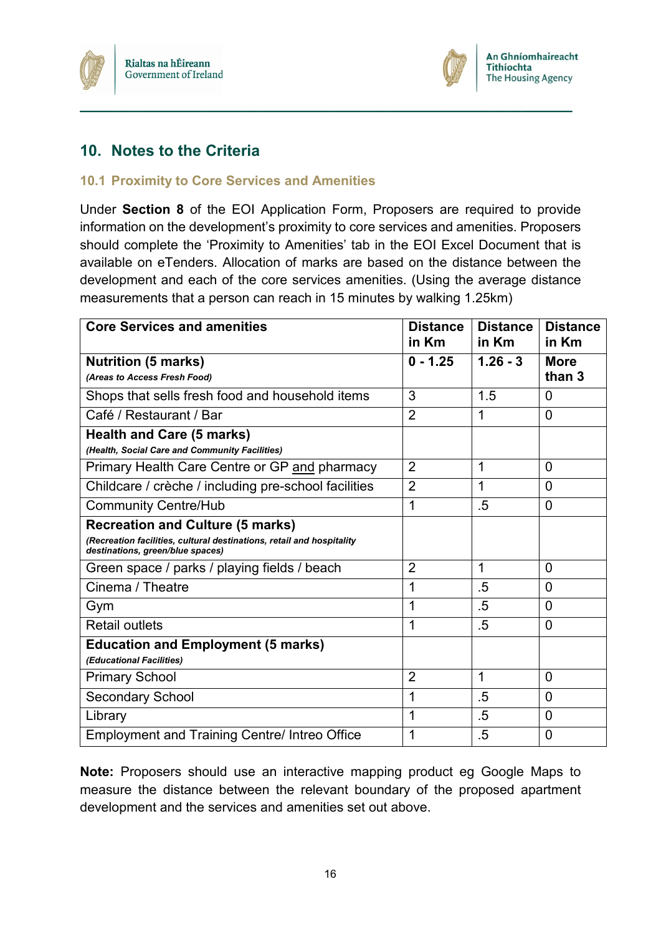



## <span id="page-18-0"></span>**10. Notes to the Criteria**

#### <span id="page-18-1"></span>**10.1 Proximity to Core Services and Amenities**

Under **Section 8** of the EOI Application Form, Proposers are required to provide information on the development's proximity to core services and amenities. Proposers should complete the 'Proximity to Amenities' tab in the EOI Excel Document that is available on eTenders. Allocation of marks are based on the distance between the development and each of the core services amenities. (Using the average distance measurements that a person can reach in 15 minutes by walking 1.25km)

**\_\_\_\_\_\_\_\_\_\_\_\_\_\_\_\_\_\_\_\_\_\_\_\_\_\_\_\_\_\_\_\_\_\_\_\_\_\_\_\_\_\_\_\_\_\_\_\_\_\_\_\_\_\_\_\_\_**

| <b>Core Services and amenities</b>                                                                        | <b>Distance</b><br>in Km | <b>Distance</b><br>in Km | <b>Distance</b><br>in Km |
|-----------------------------------------------------------------------------------------------------------|--------------------------|--------------------------|--------------------------|
| <b>Nutrition (5 marks)</b>                                                                                | $0 - 1.25$               | $1.26 - 3$               | <b>More</b>              |
| (Areas to Access Fresh Food)                                                                              |                          |                          | than 3                   |
| Shops that sells fresh food and household items                                                           | 3                        | 1.5                      | 0                        |
| Café / Restaurant / Bar                                                                                   | $\overline{2}$           | 1                        | $\Omega$                 |
| <b>Health and Care (5 marks)</b>                                                                          |                          |                          |                          |
| (Health, Social Care and Community Facilities)                                                            |                          |                          |                          |
| Primary Health Care Centre or GP and pharmacy                                                             | $\overline{2}$           | 1                        | $\mathbf 0$              |
| Childcare / crèche / including pre-school facilities                                                      | $\overline{2}$           | 1                        | $\mathbf 0$              |
| <b>Community Centre/Hub</b>                                                                               | 1                        | .5                       | $\mathbf 0$              |
| <b>Recreation and Culture (5 marks)</b>                                                                   |                          |                          |                          |
| (Recreation facilities, cultural destinations, retail and hospitality<br>destinations, green/blue spaces) |                          |                          |                          |
| Green space / parks / playing fields / beach                                                              | $\overline{2}$           | 1                        | 0                        |
| Cinema / Theatre                                                                                          | 1                        | .5                       | 0                        |
| Gym                                                                                                       | 1                        | $.5\,$                   | $\overline{0}$           |
| <b>Retail outlets</b>                                                                                     | 1                        | $.5\,$                   | $\mathbf 0$              |
| <b>Education and Employment (5 marks)</b>                                                                 |                          |                          |                          |
| (Educational Facilities)                                                                                  |                          |                          |                          |
| <b>Primary School</b>                                                                                     | $\overline{2}$           | 1                        | $\mathbf 0$              |
| <b>Secondary School</b>                                                                                   | 1                        | $.5\,$                   | $\overline{0}$           |
| Library                                                                                                   | 1                        | $.5\,$                   | $\mathbf 0$              |
| <b>Employment and Training Centre/ Intreo Office</b>                                                      | 1                        | $.5\,$                   | $\mathbf 0$              |

**Note:** Proposers should use an interactive mapping product eg Google Maps to measure the distance between the relevant boundary of the proposed apartment development and the services and amenities set out above.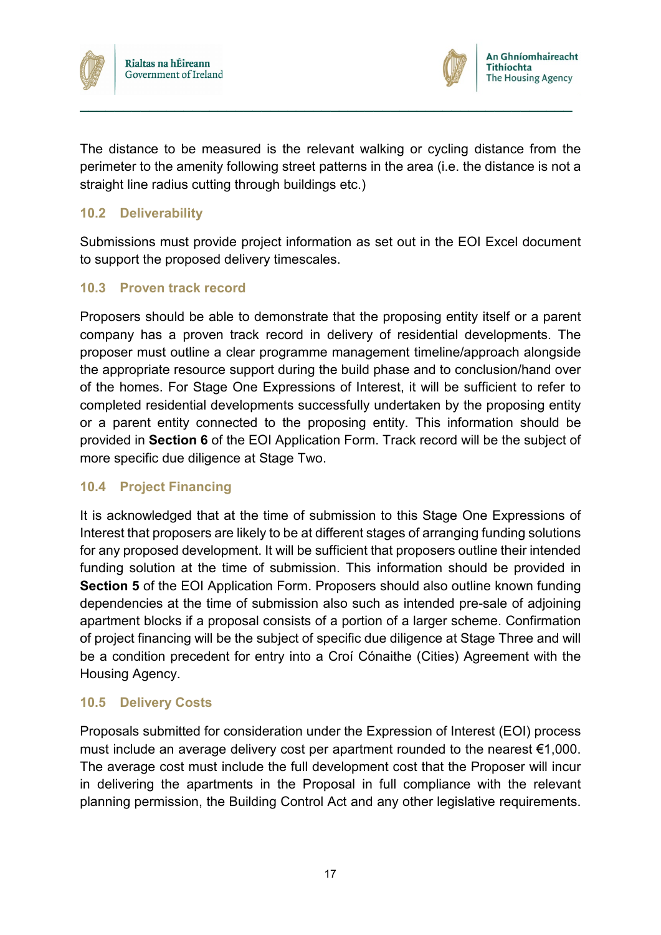



The distance to be measured is the relevant walking or cycling distance from the perimeter to the amenity following street patterns in the area (i.e. the distance is not a straight line radius cutting through buildings etc.)

**\_\_\_\_\_\_\_\_\_\_\_\_\_\_\_\_\_\_\_\_\_\_\_\_\_\_\_\_\_\_\_\_\_\_\_\_\_\_\_\_\_\_\_\_\_\_\_\_\_\_\_\_\_\_\_\_\_**

#### <span id="page-19-0"></span>**10.2 Deliverability**

Submissions must provide project information as set out in the EOI Excel document to support the proposed delivery timescales.

#### <span id="page-19-1"></span>**10.3 Proven track record**

Proposers should be able to demonstrate that the proposing entity itself or a parent company has a proven track record in delivery of residential developments. The proposer must outline a clear programme management timeline/approach alongside the appropriate resource support during the build phase and to conclusion/hand over of the homes. For Stage One Expressions of Interest, it will be sufficient to refer to completed residential developments successfully undertaken by the proposing entity or a parent entity connected to the proposing entity. This information should be provided in **Section 6** of the EOI Application Form. Track record will be the subject of more specific due diligence at Stage Two.

#### <span id="page-19-2"></span>**10.4 Project Financing**

It is acknowledged that at the time of submission to this Stage One Expressions of Interest that proposers are likely to be at different stages of arranging funding solutions for any proposed development. It will be sufficient that proposers outline their intended funding solution at the time of submission. This information should be provided in **Section 5** of the EOI Application Form. Proposers should also outline known funding dependencies at the time of submission also such as intended pre-sale of adjoining apartment blocks if a proposal consists of a portion of a larger scheme. Confirmation of project financing will be the subject of specific due diligence at Stage Three and will be a condition precedent for entry into a Croí Cónaithe (Cities) Agreement with the Housing Agency.

#### <span id="page-19-3"></span>**10.5 Delivery Costs**

Proposals submitted for consideration under the Expression of Interest (EOI) process must include an average delivery cost per apartment rounded to the nearest €1,000. The average cost must include the full development cost that the Proposer will incur in delivering the apartments in the Proposal in full compliance with the relevant planning permission, the Building Control Act and any other legislative requirements.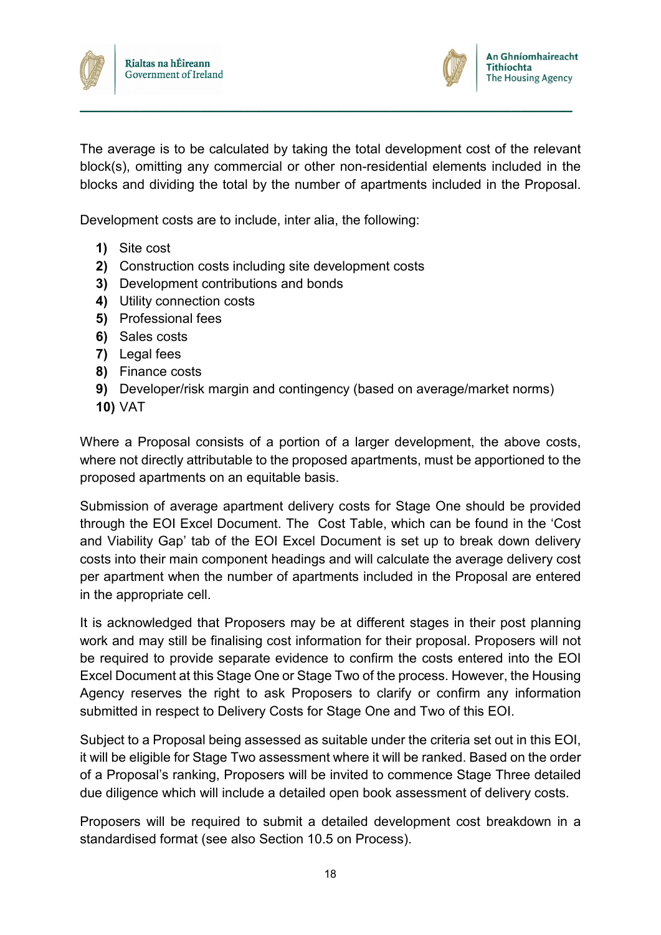



The average is to be calculated by taking the total development cost of the relevant block(s), omitting any commercial or other non-residential elements included in the blocks and dividing the total by the number of apartments included in the Proposal.

**\_\_\_\_\_\_\_\_\_\_\_\_\_\_\_\_\_\_\_\_\_\_\_\_\_\_\_\_\_\_\_\_\_\_\_\_\_\_\_\_\_\_\_\_\_\_\_\_\_\_\_\_\_\_\_\_\_**

Development costs are to include, inter alia, the following:

- **1)** Site cost
- **2)** Construction costs including site development costs
- **3)** Development contributions and bonds
- **4)** Utility connection costs
- **5)** Professional fees
- **6)** Sales costs
- **7)** Legal fees
- **8)** Finance costs
- **9)** Developer/risk margin and contingency (based on average/market norms)
- **10)** VAT

Where a Proposal consists of a portion of a larger development, the above costs, where not directly attributable to the proposed apartments, must be apportioned to the proposed apartments on an equitable basis.

Submission of average apartment delivery costs for Stage One should be provided through the EOI Excel Document. The Cost Table, which can be found in the 'Cost and Viability Gap' tab of the EOI Excel Document is set up to break down delivery costs into their main component headings and will calculate the average delivery cost per apartment when the number of apartments included in the Proposal are entered in the appropriate cell.

It is acknowledged that Proposers may be at different stages in their post planning work and may still be finalising cost information for their proposal. Proposers will not be required to provide separate evidence to confirm the costs entered into the EOI Excel Document at this Stage One or Stage Two of the process. However, the Housing Agency reserves the right to ask Proposers to clarify or confirm any information submitted in respect to Delivery Costs for Stage One and Two of this EOI.

Subject to a Proposal being assessed as suitable under the criteria set out in this EOI, it will be eligible for Stage Two assessment where it will be ranked. Based on the order of a Proposal's ranking, Proposers will be invited to commence Stage Three detailed due diligence which will include a detailed open book assessment of delivery costs.

Proposers will be required to submit a detailed development cost breakdown in a standardised format (see also Section 10.5 on Process).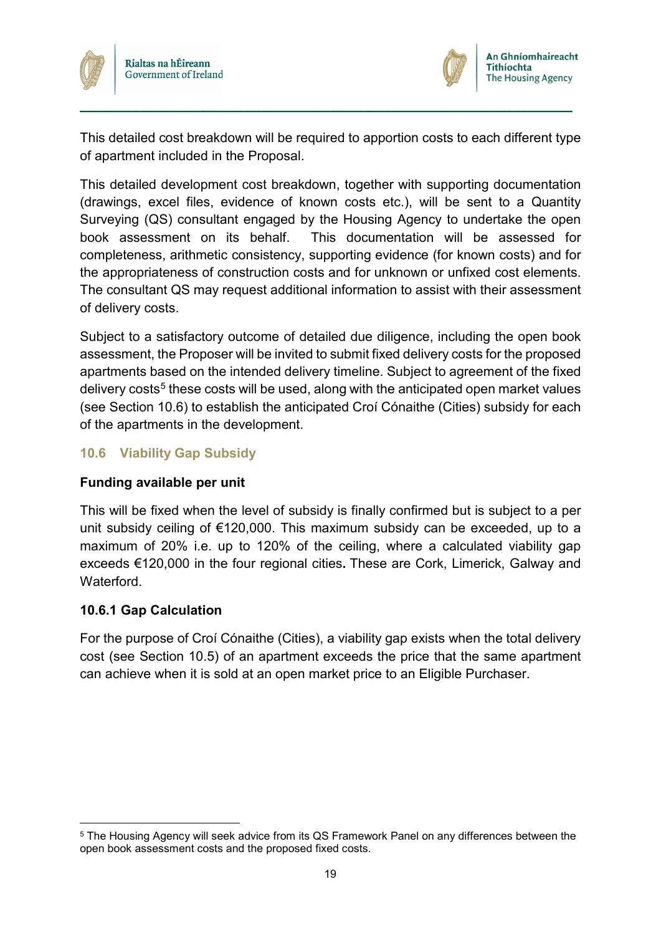



This detailed cost breakdown will be required to apportion costs to each different type of apartment included in the Proposal.

**\_\_\_\_\_\_\_\_\_\_\_\_\_\_\_\_\_\_\_\_\_\_\_\_\_\_\_\_\_\_\_\_\_\_\_\_\_\_\_\_\_\_\_\_\_\_\_\_\_\_\_\_\_\_\_\_\_**

This detailed development cost breakdown, together with supporting documentation (drawings, excel files, evidence of known costs etc.), will be sent to a Quantity Surveying (QS) consultant engaged by the Housing Agency to undertake the open book assessment on its behalf. This documentation will be assessed for completeness, arithmetic consistency, supporting evidence (for known costs) and for the appropriateness of construction costs and for unknown or unfixed cost elements. The consultant QS may request additional information to assist with their assessment of delivery costs.

Subject to a satisfactory outcome of detailed due diligence, including the open book assessment, the Proposer will be invited to submit fixed delivery costs for the proposed apartments based on the intended delivery timeline. Subject to agreement of the fixed delivery costs<sup>[5](#page-21-1)</sup> these costs will be used, along with the anticipated open market values (see Section 10.6) to establish the anticipated Croí Cónaithe (Cities) subsidy for each of the apartments in the development.

#### <span id="page-21-0"></span>**10.6 Viability Gap Subsidy**

#### **Funding available per unit**

This will be fixed when the level of subsidy is finally confirmed but is subject to a per unit subsidy ceiling of €120,000. This maximum subsidy can be exceeded, up to a maximum of 20% i.e. up to 120% of the ceiling, where a calculated viability gap exceeds €120,000 in the four regional cities**.** These are Cork, Limerick, Galway and **Waterford** 

#### **10.6.1 Gap Calculation**

For the purpose of Croí Cónaithe (Cities), a viability gap exists when the total delivery cost (see Section 10.5) of an apartment exceeds the price that the same apartment can achieve when it is sold at an open market price to an Eligible Purchaser.

<span id="page-21-1"></span> <sup>5</sup> The Housing Agency will seek advice from its QS Framework Panel on any differences between the open book assessment costs and the proposed fixed costs.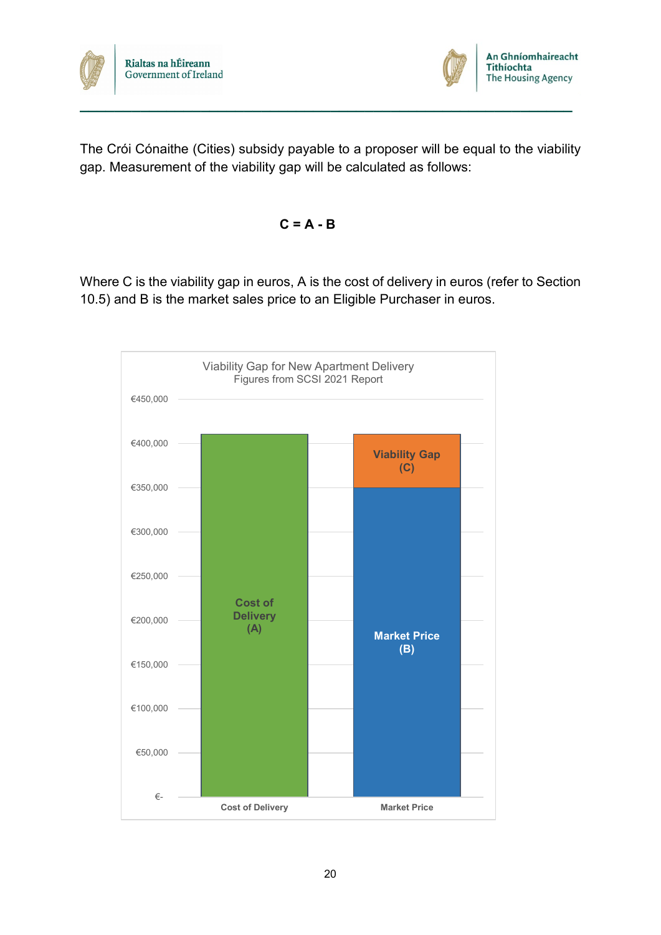



The Crói Cónaithe (Cities) subsidy payable to a proposer will be equal to the viability gap. Measurement of the viability gap will be calculated as follows:

**\_\_\_\_\_\_\_\_\_\_\_\_\_\_\_\_\_\_\_\_\_\_\_\_\_\_\_\_\_\_\_\_\_\_\_\_\_\_\_\_\_\_\_\_\_\_\_\_\_\_\_\_\_\_\_\_\_**

$$
C = A - B
$$

Where C is the viability gap in euros, A is the cost of delivery in euros (refer to Section 10.5) and B is the market sales price to an Eligible Purchaser in euros.

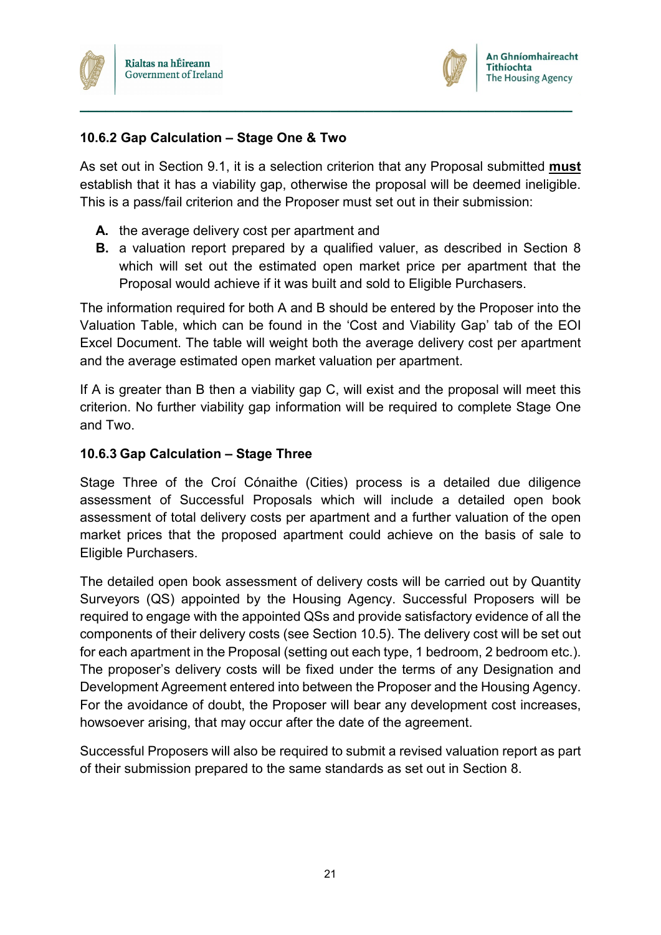



#### **10.6.2 Gap Calculation – Stage One & Two**

As set out in Section 9.1, it is a selection criterion that any Proposal submitted **must** establish that it has a viability gap, otherwise the proposal will be deemed ineligible. This is a pass/fail criterion and the Proposer must set out in their submission:

**\_\_\_\_\_\_\_\_\_\_\_\_\_\_\_\_\_\_\_\_\_\_\_\_\_\_\_\_\_\_\_\_\_\_\_\_\_\_\_\_\_\_\_\_\_\_\_\_\_\_\_\_\_\_\_\_\_**

- **A.** the average delivery cost per apartment and
- **B.** a valuation report prepared by a qualified valuer, as described in Section 8 which will set out the estimated open market price per apartment that the Proposal would achieve if it was built and sold to Eligible Purchasers.

The information required for both A and B should be entered by the Proposer into the Valuation Table, which can be found in the 'Cost and Viability Gap' tab of the EOI Excel Document. The table will weight both the average delivery cost per apartment and the average estimated open market valuation per apartment.

If A is greater than B then a viability gap C, will exist and the proposal will meet this criterion. No further viability gap information will be required to complete Stage One and Two.

#### **10.6.3 Gap Calculation – Stage Three**

Stage Three of the Croí Cónaithe (Cities) process is a detailed due diligence assessment of Successful Proposals which will include a detailed open book assessment of total delivery costs per apartment and a further valuation of the open market prices that the proposed apartment could achieve on the basis of sale to Eligible Purchasers.

The detailed open book assessment of delivery costs will be carried out by Quantity Surveyors (QS) appointed by the Housing Agency. Successful Proposers will be required to engage with the appointed QSs and provide satisfactory evidence of all the components of their delivery costs (see Section 10.5). The delivery cost will be set out for each apartment in the Proposal (setting out each type, 1 bedroom, 2 bedroom etc.). The proposer's delivery costs will be fixed under the terms of any Designation and Development Agreement entered into between the Proposer and the Housing Agency. For the avoidance of doubt, the Proposer will bear any development cost increases, howsoever arising, that may occur after the date of the agreement.

Successful Proposers will also be required to submit a revised valuation report as part of their submission prepared to the same standards as set out in Section 8.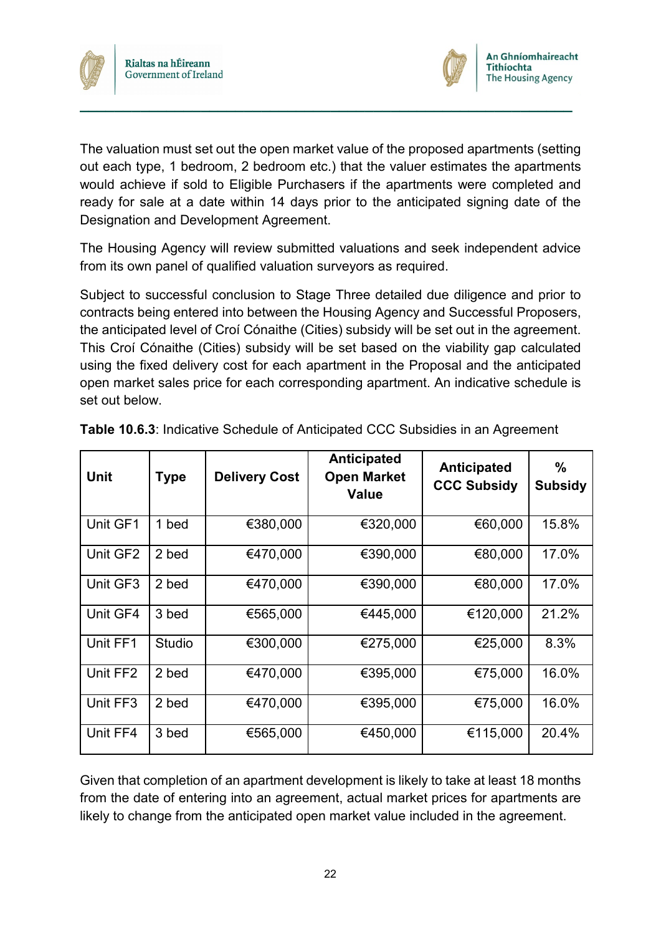



The valuation must set out the open market value of the proposed apartments (setting out each type, 1 bedroom, 2 bedroom etc.) that the valuer estimates the apartments would achieve if sold to Eligible Purchasers if the apartments were completed and ready for sale at a date within 14 days prior to the anticipated signing date of the Designation and Development Agreement.

**\_\_\_\_\_\_\_\_\_\_\_\_\_\_\_\_\_\_\_\_\_\_\_\_\_\_\_\_\_\_\_\_\_\_\_\_\_\_\_\_\_\_\_\_\_\_\_\_\_\_\_\_\_\_\_\_\_**

The Housing Agency will review submitted valuations and seek independent advice from its own panel of qualified valuation surveyors as required.

Subject to successful conclusion to Stage Three detailed due diligence and prior to contracts being entered into between the Housing Agency and Successful Proposers, the anticipated level of Croí Cónaithe (Cities) subsidy will be set out in the agreement. This Croí Cónaithe (Cities) subsidy will be set based on the viability gap calculated using the fixed delivery cost for each apartment in the Proposal and the anticipated open market sales price for each corresponding apartment. An indicative schedule is set out below.

| <b>Unit</b> | <b>Type</b> | <b>Delivery Cost</b> | Anticipated<br><b>Open Market</b><br><b>Value</b> | <b>Anticipated</b><br><b>CCC Subsidy</b> | $\frac{0}{0}$<br><b>Subsidy</b> |
|-------------|-------------|----------------------|---------------------------------------------------|------------------------------------------|---------------------------------|
| Unit GF1    | 1 bed       | €380,000             | €320,000                                          | €60,000                                  | 15.8%                           |
| Unit GF2    | 2 bed       | €470,000             | €390,000                                          | €80,000                                  | 17.0%                           |
| Unit GF3    | 2 bed       | €470,000             | €390,000                                          | €80,000                                  | 17.0%                           |
| Unit GF4    | 3 bed       | €565,000             | €445,000                                          | €120,000                                 | 21.2%                           |
| Unit FF1    | Studio      | €300,000             | €275,000                                          | €25,000                                  | 8.3%                            |
| Unit FF2    | 2 bed       | €470,000             | €395,000                                          | €75,000                                  | 16.0%                           |
| Unit FF3    | 2 bed       | €470,000             | €395,000                                          | €75,000                                  | 16.0%                           |
| Unit FF4    | 3 bed       | €565,000             | €450,000                                          | €115,000                                 | 20.4%                           |

**Table 10.6.3**: Indicative Schedule of Anticipated CCC Subsidies in an Agreement

Given that completion of an apartment development is likely to take at least 18 months from the date of entering into an agreement, actual market prices for apartments are likely to change from the anticipated open market value included in the agreement.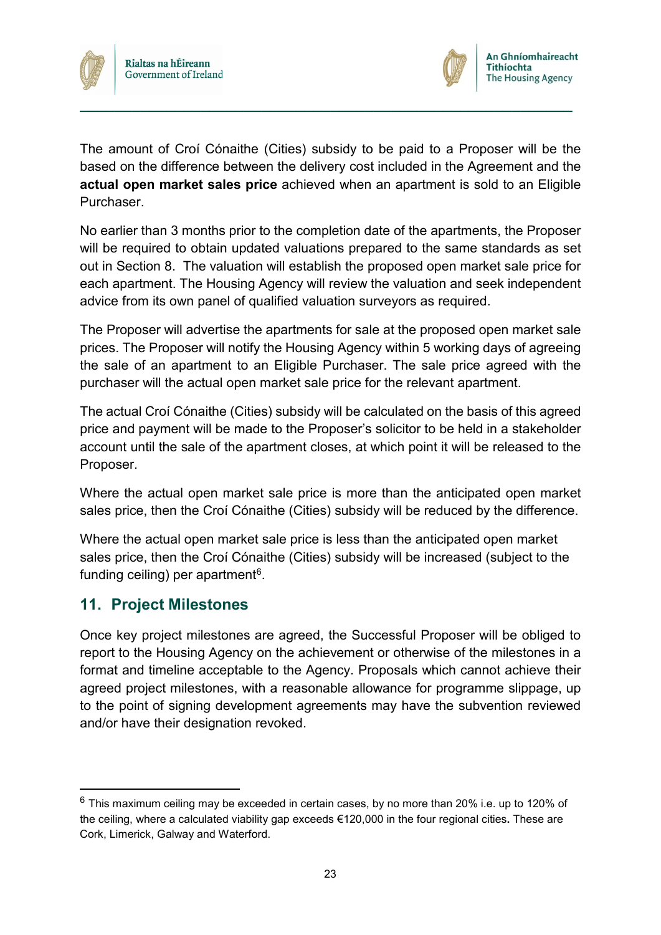



The amount of Croí Cónaithe (Cities) subsidy to be paid to a Proposer will be the based on the difference between the delivery cost included in the Agreement and the **actual open market sales price** achieved when an apartment is sold to an Eligible **Purchaser** 

**\_\_\_\_\_\_\_\_\_\_\_\_\_\_\_\_\_\_\_\_\_\_\_\_\_\_\_\_\_\_\_\_\_\_\_\_\_\_\_\_\_\_\_\_\_\_\_\_\_\_\_\_\_\_\_\_\_**

No earlier than 3 months prior to the completion date of the apartments, the Proposer will be required to obtain updated valuations prepared to the same standards as set out in Section 8. The valuation will establish the proposed open market sale price for each apartment. The Housing Agency will review the valuation and seek independent advice from its own panel of qualified valuation surveyors as required.

The Proposer will advertise the apartments for sale at the proposed open market sale prices. The Proposer will notify the Housing Agency within 5 working days of agreeing the sale of an apartment to an Eligible Purchaser. The sale price agreed with the purchaser will the actual open market sale price for the relevant apartment.

The actual Croí Cónaithe (Cities) subsidy will be calculated on the basis of this agreed price and payment will be made to the Proposer's solicitor to be held in a stakeholder account until the sale of the apartment closes, at which point it will be released to the Proposer.

Where the actual open market sale price is more than the anticipated open market sales price, then the Croí Cónaithe (Cities) subsidy will be reduced by the difference.

Where the actual open market sale price is less than the anticipated open market sales price, then the Croí Cónaithe (Cities) subsidy will be increased (subject to the funding ceiling) per apartment<sup>6</sup>.

## <span id="page-25-0"></span>**11. Project Milestones**

Once key project milestones are agreed, the Successful Proposer will be obliged to report to the Housing Agency on the achievement or otherwise of the milestones in a format and timeline acceptable to the Agency. Proposals which cannot achieve their agreed project milestones, with a reasonable allowance for programme slippage, up to the point of signing development agreements may have the subvention reviewed and/or have their designation revoked.

<span id="page-25-1"></span> $6$  This maximum ceiling may be exceeded in certain cases, by no more than 20% i.e. up to 120% of the ceiling, where a calculated viability gap exceeds €120,000 in the four regional cities**.** These are Cork, Limerick, Galway and Waterford.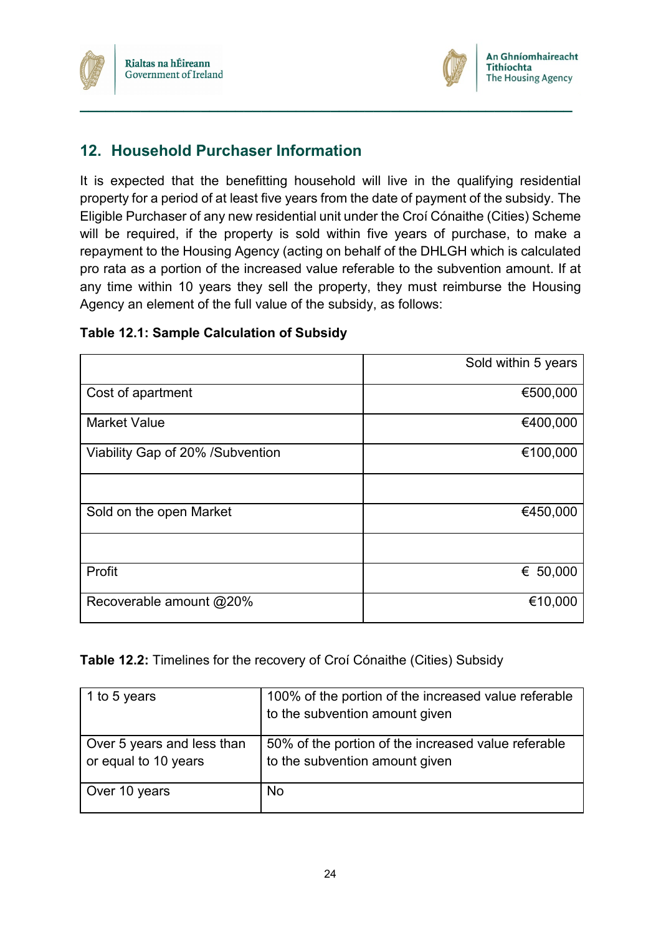



## <span id="page-26-0"></span>**12. Household Purchaser Information**

It is expected that the benefitting household will live in the qualifying residential property for a period of at least five years from the date of payment of the subsidy. The Eligible Purchaser of any new residential unit under the Croí Cónaithe (Cities) Scheme will be required, if the property is sold within five years of purchase, to make a repayment to the Housing Agency (acting on behalf of the DHLGH which is calculated pro rata as a portion of the increased value referable to the subvention amount. If at any time within 10 years they sell the property, they must reimburse the Housing Agency an element of the full value of the subsidy, as follows:

**\_\_\_\_\_\_\_\_\_\_\_\_\_\_\_\_\_\_\_\_\_\_\_\_\_\_\_\_\_\_\_\_\_\_\_\_\_\_\_\_\_\_\_\_\_\_\_\_\_\_\_\_\_\_\_\_\_**

|                                  | Sold within 5 years |
|----------------------------------|---------------------|
| Cost of apartment                | €500,000            |
| <b>Market Value</b>              | €400,000            |
| Viability Gap of 20% /Subvention | €100,000            |
|                                  |                     |
| Sold on the open Market          | €450,000            |
|                                  |                     |
| Profit                           | € 50,000            |
| Recoverable amount @20%          | €10,000             |

#### **Table 12.1: Sample Calculation of Subsidy**

#### **Table 12.2:** Timelines for the recovery of Croí Cónaithe (Cities) Subsidy

| 1 to 5 years                                       | 100% of the portion of the increased value referable<br>to the subvention amount given |
|----------------------------------------------------|----------------------------------------------------------------------------------------|
| Over 5 years and less than<br>or equal to 10 years | 50% of the portion of the increased value referable<br>to the subvention amount given  |
| Over 10 years                                      | <b>No</b>                                                                              |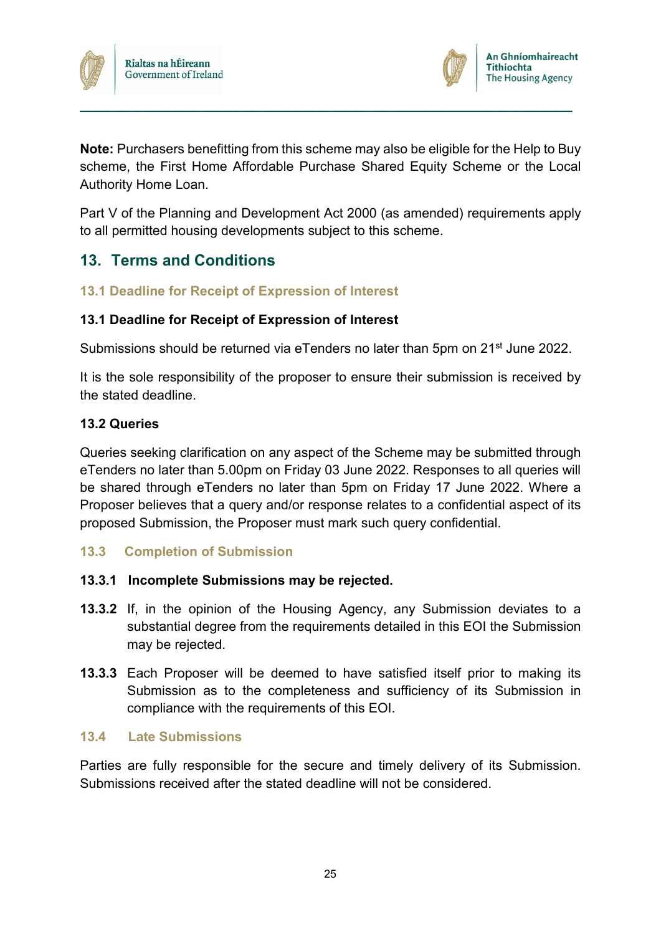



**Note:** Purchasers benefitting from this scheme may also be eligible for the Help to Buy scheme, the First Home Affordable Purchase Shared Equity Scheme or the Local Authority Home Loan.

**\_\_\_\_\_\_\_\_\_\_\_\_\_\_\_\_\_\_\_\_\_\_\_\_\_\_\_\_\_\_\_\_\_\_\_\_\_\_\_\_\_\_\_\_\_\_\_\_\_\_\_\_\_\_\_\_\_**

Part V of the Planning and Development Act 2000 (as amended) requirements apply to all permitted housing developments subject to this scheme.

## <span id="page-27-0"></span>**13. Terms and Conditions**

#### **13.1 Deadline for Receipt of Expression of Interest**

#### **13.1 Deadline for Receipt of Expression of Interest**

Submissions should be returned via eTenders no later than 5pm on 21<sup>st</sup> June 2022.

It is the sole responsibility of the proposer to ensure their submission is received by the stated deadline.

#### **13.2 Queries**

Queries seeking clarification on any aspect of the Scheme may be submitted through eTenders no later than 5.00pm on Friday 03 June 2022. Responses to all queries will be shared through eTenders no later than 5pm on Friday 17 June 2022. Where a Proposer believes that a query and/or response relates to a confidential aspect of its proposed Submission, the Proposer must mark such query confidential.

**13.3 Completion of Submission**

#### **13.3.1 Incomplete Submissions may be rejected.**

- **13.3.2** If, in the opinion of the Housing Agency, any Submission deviates to a substantial degree from the requirements detailed in this EOI the Submission may be rejected.
- **13.3.3** Each Proposer will be deemed to have satisfied itself prior to making its Submission as to the completeness and sufficiency of its Submission in compliance with the requirements of this EOI.

#### **13.4 Late Submissions**

Parties are fully responsible for the secure and timely delivery of its Submission. Submissions received after the stated deadline will not be considered.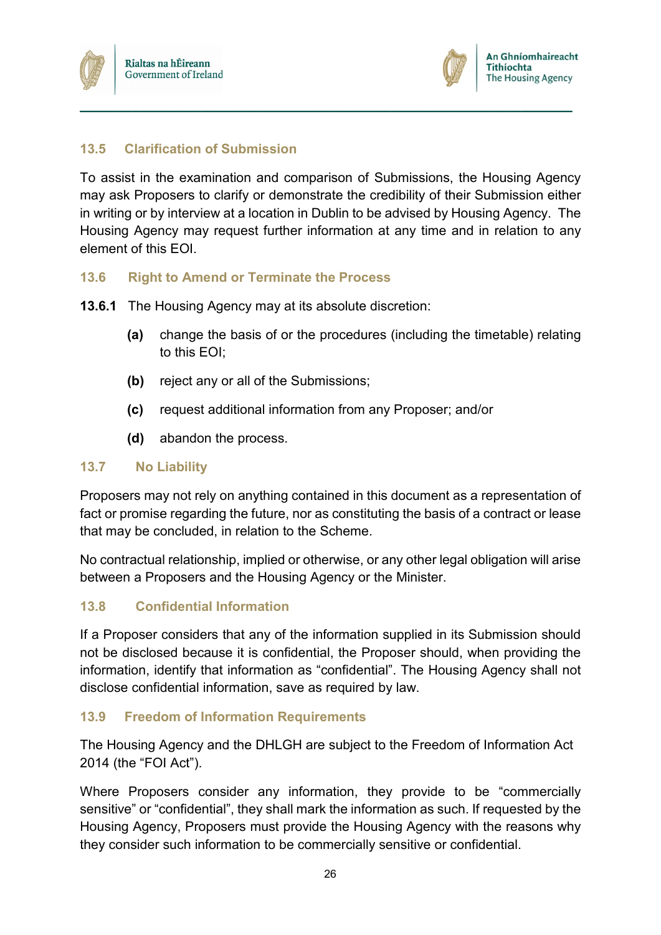



#### **13.5 Clarification of Submission**

To assist in the examination and comparison of Submissions, the Housing Agency may ask Proposers to clarify or demonstrate the credibility of their Submission either in writing or by interview at a location in Dublin to be advised by Housing Agency. The Housing Agency may request further information at any time and in relation to any element of this EOI.

**\_\_\_\_\_\_\_\_\_\_\_\_\_\_\_\_\_\_\_\_\_\_\_\_\_\_\_\_\_\_\_\_\_\_\_\_\_\_\_\_\_\_\_\_\_\_\_\_\_\_\_\_\_\_\_\_\_**

#### **13.6 Right to Amend or Terminate the Process**

**13.6.1** The Housing Agency may at its absolute discretion:

- **(a)** change the basis of or the procedures (including the timetable) relating to this EOI;
- **(b)** reject any or all of the Submissions;
- **(c)** request additional information from any Proposer; and/or
- **(d)** abandon the process.

#### **13.7 No Liability**

Proposers may not rely on anything contained in this document as a representation of fact or promise regarding the future, nor as constituting the basis of a contract or lease that may be concluded, in relation to the Scheme.

No contractual relationship, implied or otherwise, or any other legal obligation will arise between a Proposers and the Housing Agency or the Minister.

#### **13.8 Confidential Information**

If a Proposer considers that any of the information supplied in its Submission should not be disclosed because it is confidential, the Proposer should, when providing the information, identify that information as "confidential". The Housing Agency shall not disclose confidential information, save as required by law.

#### **13.9 Freedom of Information Requirements**

The Housing Agency and the DHLGH are subject to the Freedom of Information Act 2014 (the "FOI Act").

Where Proposers consider any information, they provide to be "commercially sensitive" or "confidential", they shall mark the information as such. If requested by the Housing Agency, Proposers must provide the Housing Agency with the reasons why they consider such information to be commercially sensitive or confidential.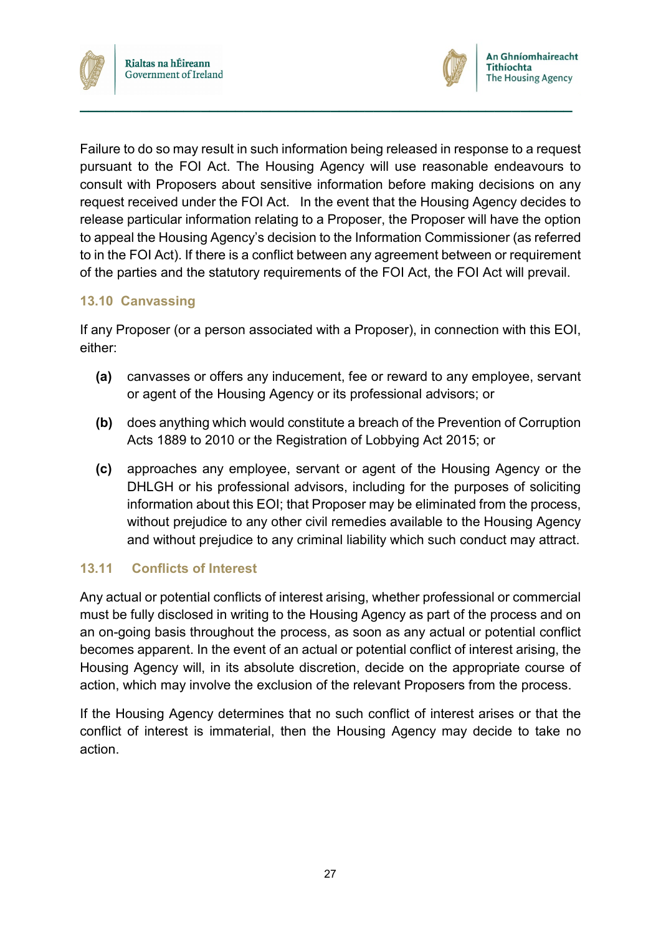



Failure to do so may result in such information being released in response to a request pursuant to the FOI Act. The Housing Agency will use reasonable endeavours to consult with Proposers about sensitive information before making decisions on any request received under the FOI Act. In the event that the Housing Agency decides to release particular information relating to a Proposer, the Proposer will have the option to appeal the Housing Agency's decision to the Information Commissioner (as referred to in the FOI Act). If there is a conflict between any agreement between or requirement of the parties and the statutory requirements of the FOI Act, the FOI Act will prevail.

**\_\_\_\_\_\_\_\_\_\_\_\_\_\_\_\_\_\_\_\_\_\_\_\_\_\_\_\_\_\_\_\_\_\_\_\_\_\_\_\_\_\_\_\_\_\_\_\_\_\_\_\_\_\_\_\_\_**

#### **13.10 Canvassing**

If any Proposer (or a person associated with a Proposer), in connection with this EOI, either:

- **(a)** canvasses or offers any inducement, fee or reward to any employee, servant or agent of the Housing Agency or its professional advisors; or
- **(b)** does anything which would constitute a breach of the Prevention of Corruption Acts 1889 to 2010 or the Registration of Lobbying Act 2015; or
- **(c)** approaches any employee, servant or agent of the Housing Agency or the DHLGH or his professional advisors, including for the purposes of soliciting information about this EOI; that Proposer may be eliminated from the process, without prejudice to any other civil remedies available to the Housing Agency and without prejudice to any criminal liability which such conduct may attract.

#### **13.11 Conflicts of Interest**

Any actual or potential conflicts of interest arising, whether professional or commercial must be fully disclosed in writing to the Housing Agency as part of the process and on an on-going basis throughout the process, as soon as any actual or potential conflict becomes apparent. In the event of an actual or potential conflict of interest arising, the Housing Agency will, in its absolute discretion, decide on the appropriate course of action, which may involve the exclusion of the relevant Proposers from the process.

If the Housing Agency determines that no such conflict of interest arises or that the conflict of interest is immaterial, then the Housing Agency may decide to take no action.